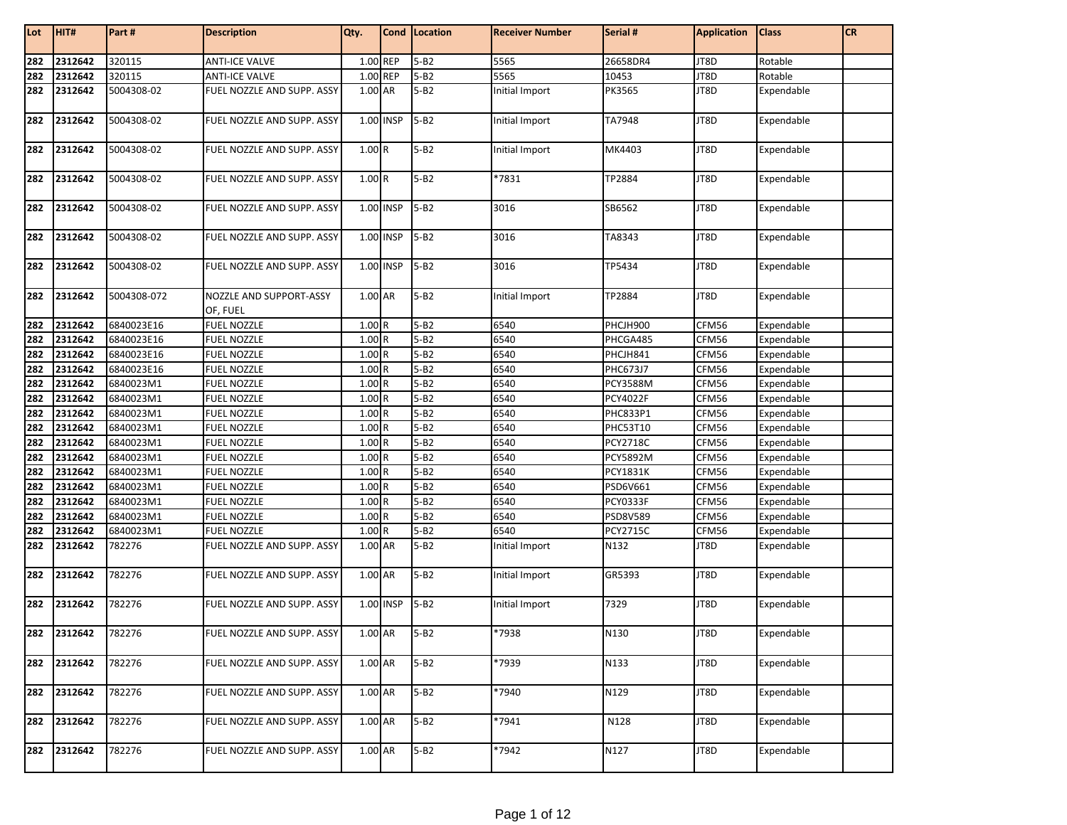| Lot | HIT#        | Part#       | <b>Description</b>                  | Qty.      |           | Cond Location | <b>Receiver Number</b> | Serial #        | <b>Application</b> | <b>Class</b> | <b>CR</b> |
|-----|-------------|-------------|-------------------------------------|-----------|-----------|---------------|------------------------|-----------------|--------------------|--------------|-----------|
|     |             |             |                                     |           |           |               |                        |                 |                    |              |           |
| 282 | 2312642     | 320115      | <b>ANTI-ICE VALVE</b>               | 1.00 REP  |           | $5 - B2$      | 5565                   | 26658DR4        | JT8D               | Rotable      |           |
| 282 | 2312642     | 320115      | <b>ANTI-ICE VALVE</b>               | 1.00 REP  |           | $5 - B2$      | 5565                   | 10453           | JT8D               | Rotable      |           |
| 282 | 2312642     | 5004308-02  | FUEL NOZZLE AND SUPP. ASSY          | 1.00 AR   |           | $5 - B2$      | Initial Import         | PK3565          | JT8D               | Expendable   |           |
| 282 | 2312642     | 5004308-02  | FUEL NOZZLE AND SUPP. ASSY          |           | 1.00 INSP | $5 - B2$      | Initial Import         | TA7948          | JT8D               | Expendable   |           |
| 282 | 2312642     | 5004308-02  | FUEL NOZZLE AND SUPP. ASSY          | 1.00R     |           | $5 - B2$      | Initial Import         | MK4403          | JT8D               | Expendable   |           |
| 282 | 2312642     | 5004308-02  | FUEL NOZZLE AND SUPP. ASSY          | 1.00R     |           | $5 - B2$      | *7831                  | TP2884          | JT8D               | Expendable   |           |
| 282 | 2312642     | 5004308-02  | FUEL NOZZLE AND SUPP. ASSY          | 1.00 INSP |           | $5 - B2$      | 3016                   | SB6562          | JT8D               | Expendable   |           |
| 282 | 2312642     | 5004308-02  | FUEL NOZZLE AND SUPP. ASSY          |           | 1.00 INSP | $5 - B2$      | 3016                   | TA8343          | JT8D               | Expendable   |           |
| 282 | 2312642     | 5004308-02  | FUEL NOZZLE AND SUPP. ASSY          |           | 1.00 INSP | $5 - B2$      | 3016                   | TP5434          | JT8D               | Expendable   |           |
| 282 | 2312642     | 5004308-072 | NOZZLE AND SUPPORT-ASSY<br>OF, FUEL | 1.00 AR   |           | $5 - B2$      | Initial Import         | TP2884          | JT8D               | Expendable   |           |
| 282 | 2312642     | 6840023E16  | <b>FUEL NOZZLE</b>                  | 1.00R     |           | $5 - B2$      | 6540                   | PHCJH900        | CFM56              | Expendable   |           |
| 282 | 2312642     | 6840023E16  | <b>FUEL NOZZLE</b>                  | 1.00R     |           | $5 - B2$      | 6540                   | PHCGA485        | CFM56              | Expendable   |           |
| 282 | 2312642     | 6840023E16  | <b>FUEL NOZZLE</b>                  | 1.00R     |           | $5 - B2$      | 6540                   | PHCJH841        | CFM56              | Expendable   |           |
| 282 | 2312642     | 6840023E16  | <b>FUEL NOZZLE</b>                  | 1.00R     |           | $5 - B2$      | 6540                   | PHC673J7        | CFM56              | Expendable   |           |
| 282 | 2312642     | 6840023M1   | <b>FUEL NOZZLE</b>                  | 1.00R     |           | $5 - B2$      | 6540                   | <b>PCY3588M</b> | CFM56              | Expendable   |           |
| 282 | 2312642     | 6840023M1   | <b>FUEL NOZZLE</b>                  | 1.00R     |           | $5 - B2$      | 6540                   | <b>PCY4022F</b> | CFM56              | Expendable   |           |
| 282 | 2312642     | 6840023M1   | <b>FUEL NOZZLE</b>                  | 1.00R     |           | $5 - B2$      | 6540                   | <b>PHC833P1</b> | CFM56              | Expendable   |           |
| 282 | 2312642     | 6840023M1   | <b>FUEL NOZZLE</b>                  | 1.00R     |           | $5 - B2$      | 6540                   | PHC53T10        | CFM56              | Expendable   |           |
| 282 | 2312642     | 6840023M1   | <b>FUEL NOZZLE</b>                  | 1.00R     |           | $5 - B2$      | 6540                   | <b>PCY2718C</b> | CFM56              | Expendable   |           |
| 282 | 2312642     | 6840023M1   | <b>FUEL NOZZLE</b>                  | 1.00R     |           | $5 - B2$      | 6540                   | <b>PCY5892M</b> | CFM56              | Expendable   |           |
| 282 | 2312642     | 6840023M1   | <b>FUEL NOZZLE</b>                  | 1.00R     |           | $5 - B2$      | 6540                   | <b>PCY1831K</b> | CFM56              | Expendable   |           |
| 282 | 2312642     | 6840023M1   | <b>FUEL NOZZLE</b>                  | 1.00R     |           | $5 - B2$      | 6540                   | PSD6V661        | CFM56              | Expendable   |           |
| 282 | 2312642     | 6840023M1   | <b>FUEL NOZZLE</b>                  | 1.00R     |           | $5 - B2$      | 6540                   | <b>PCY0333F</b> | CFM56              | Expendable   |           |
| 282 | 2312642     | 6840023M1   | <b>FUEL NOZZLE</b>                  | 1.00R     |           | $5 - B2$      | 6540                   | PSD8V589        | CFM56              | Expendable   |           |
| 282 | 2312642     | 6840023M1   | <b>FUEL NOZZLE</b>                  | 1.00R     |           | $5 - B2$      | 6540                   | <b>PCY2715C</b> | CFM56              | Expendable   |           |
| 282 | 2312642     | 782276      | FUEL NOZZLE AND SUPP. ASSY          | 1.00 AR   |           | $5 - B2$      | Initial Import         | N132            | JT8D               | Expendable   |           |
| 282 | 2312642     | 782276      | FUEL NOZZLE AND SUPP. ASSY          | 1.00 AR   |           | $5-B2$        | Initial Import         | GR5393          | JT8D               | Expendable   |           |
| 282 | 2312642     | 782276      | FUEL NOZZLE AND SUPP. ASSY          |           | 1.00 INSP | $5 - B2$      | Initial Import         | 7329            | JT8D               | Expendable   |           |
|     | 282 2312642 | 782276      | FUEL NOZZLE AND SUPP. ASSY          | 1.00 AR   |           | $5 - B2$      | *7938                  | N130            | JT8D               | Expendable   |           |
| 282 | 2312642     | 782276      | FUEL NOZZLE AND SUPP. ASSY          | 1.00 AR   |           | $5 - B2$      | *7939                  | N133            | JT8D               | Expendable   |           |
| 282 | 2312642     | 782276      | FUEL NOZZLE AND SUPP. ASSY          | 1.00 AR   |           | $5 - B2$      | *7940                  | N129            | JT8D               | Expendable   |           |
| 282 | 2312642     | 782276      | FUEL NOZZLE AND SUPP. ASSY          | 1.00 AR   |           | $5 - B2$      | *7941                  | N128            | JT8D               | Expendable   |           |
| 282 | 2312642     | 782276      | FUEL NOZZLE AND SUPP. ASSY          | 1.00 AR   |           | $5 - B2$      | *7942                  | N127            | JT8D               | Expendable   |           |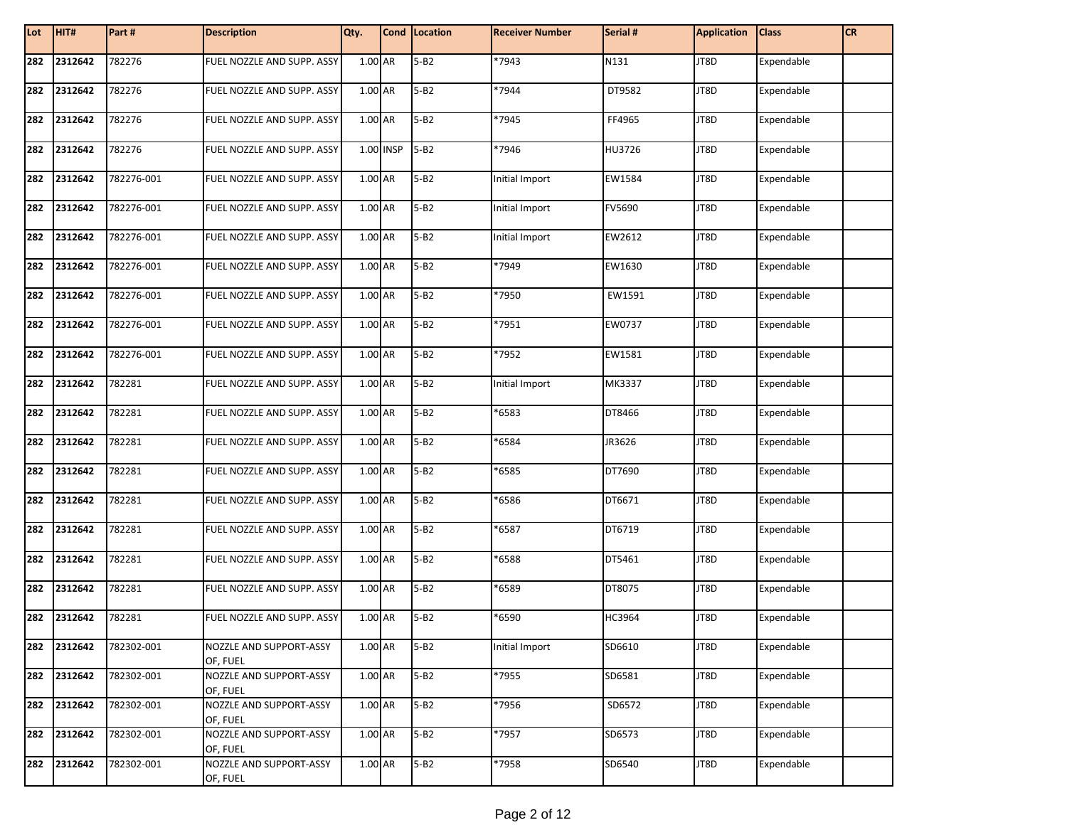| Lot | HIT#    | Part#      | <b>Description</b>                  | Qty.        | Cond   Location | <b>Receiver Number</b> | Serial # | <b>Application</b> | <b>Class</b> | <b>CR</b> |
|-----|---------|------------|-------------------------------------|-------------|-----------------|------------------------|----------|--------------------|--------------|-----------|
| 282 | 2312642 | 782276     | FUEL NOZZLE AND SUPP. ASSY          | 1.00 AR     | $5 - B2$        | $*7943$                | N131     | JT8D               | Expendable   |           |
| 282 | 2312642 | 782276     | FUEL NOZZLE AND SUPP. ASSY          | 1.00 AR     | $5 - B2$        | *7944                  | DT9582   | JT8D               | Expendable   |           |
| 282 | 2312642 | 782276     | FUEL NOZZLE AND SUPP. ASSY          | 1.00 AR     | $5 - B2$        | *7945                  | FF4965   | JT8D               | Expendable   |           |
| 282 | 2312642 | 782276     | FUEL NOZZLE AND SUPP. ASSY          | $1.00$ INSP | $5 - B2$        | *7946                  | HU3726   | JT8D               | Expendable   |           |
| 282 | 2312642 | 782276-001 | FUEL NOZZLE AND SUPP. ASSY          | 1.00 AR     | $5 - B2$        | Initial Import         | EW1584   | JT8D               | Expendable   |           |
| 282 | 2312642 | 782276-001 | FUEL NOZZLE AND SUPP. ASSY          | 1.00 AR     | $5 - B2$        | <b>Initial Import</b>  | FV5690   | JT8D               | Expendable   |           |
| 282 | 2312642 | 782276-001 | FUEL NOZZLE AND SUPP. ASSY          | 1.00 AR     | $5 - B2$        | Initial Import         | EW2612   | JT8D               | Expendable   |           |
| 282 | 2312642 | 782276-001 | FUEL NOZZLE AND SUPP. ASSY          | 1.00 AR     | $5 - B2$        | *7949                  | EW1630   | JT8D               | Expendable   |           |
| 282 | 2312642 | 782276-001 | FUEL NOZZLE AND SUPP. ASSY          | 1.00 AR     | $5 - B2$        | *7950                  | EW1591   | JT8D               | Expendable   |           |
| 282 | 2312642 | 782276-001 | FUEL NOZZLE AND SUPP. ASSY          | 1.00 AR     | $5 - B2$        | *7951                  | EW0737   | JT8D               | Expendable   |           |
| 282 | 2312642 | 782276-001 | FUEL NOZZLE AND SUPP. ASSY          | 1.00 AR     | $5 - B2$        | *7952                  | EW1581   | JT8D               | Expendable   |           |
| 282 | 2312642 | 782281     | FUEL NOZZLE AND SUPP. ASSY          | 1.00 AR     | $5 - B2$        | Initial Import         | MK3337   | JT8D               | Expendable   |           |
| 282 | 2312642 | 782281     | FUEL NOZZLE AND SUPP. ASSY          | 1.00 AR     | $5-B2$          | *6583                  | DT8466   | JT8D               | Expendable   |           |
| 282 | 2312642 | 782281     | FUEL NOZZLE AND SUPP. ASSY          | 1.00 AR     | $5 - B2$        | *6584                  | JR3626   | JT8D               | Expendable   |           |
| 282 | 2312642 | 782281     | FUEL NOZZLE AND SUPP. ASSY          | 1.00 AR     | $5 - B2$        | *6585                  | DT7690   | JT8D               | Expendable   |           |
| 282 | 2312642 | 782281     | FUEL NOZZLE AND SUPP. ASSY          | 1.00 AR     | $5 - B2$        | *6586                  | DT6671   | JT8D               | Expendable   |           |
| 282 | 2312642 | 782281     | FUEL NOZZLE AND SUPP. ASSY          | 1.00 AR     | $5 - B2$        | *6587                  | DT6719   | JT8D               | Expendable   |           |
| 282 | 2312642 | 782281     | FUEL NOZZLE AND SUPP. ASSY          | 1.00 AR     | $5 - B2$        | *6588                  | DT5461   | JT8D               | Expendable   |           |
| 282 | 2312642 | 782281     | FUEL NOZZLE AND SUPP. ASSY          | 1.00 AR     | $5 - B2$        | *6589                  | DT8075   | JT8D               | Expendable   |           |
| 282 | 2312642 | 782281     | FUEL NOZZLE AND SUPP. ASSY          | 1.00 AR     | $5 - B2$        | *6590                  | HC3964   | JT8D               | Expendable   |           |
| 282 | 2312642 | 782302-001 | NOZZLE AND SUPPORT-ASSY<br>OF, FUEL | 1.00 AR     | $5 - B2$        | Initial Import         | SD6610   | JT8D               | Expendable   |           |
| 282 | 2312642 | 782302-001 | NOZZLE AND SUPPORT-ASSY<br>OF, FUEL | 1.00 AR     | $5 - B2$        | *7955                  | SD6581   | JT8D               | Expendable   |           |
| 282 | 2312642 | 782302-001 | NOZZLE AND SUPPORT-ASSY<br>OF, FUEL | 1.00 AR     | $5 - B2$        | *7956                  | SD6572   | JT8D               | Expendable   |           |
| 282 | 2312642 | 782302-001 | NOZZLE AND SUPPORT-ASSY<br>OF, FUEL | 1.00 AR     | $5 - B2$        | *7957                  | SD6573   | JT8D               | Expendable   |           |
| 282 | 2312642 | 782302-001 | NOZZLE AND SUPPORT-ASSY<br>OF, FUEL | 1.00 AR     | $5 - B2$        | *7958                  | SD6540   | JT8D               | Expendable   |           |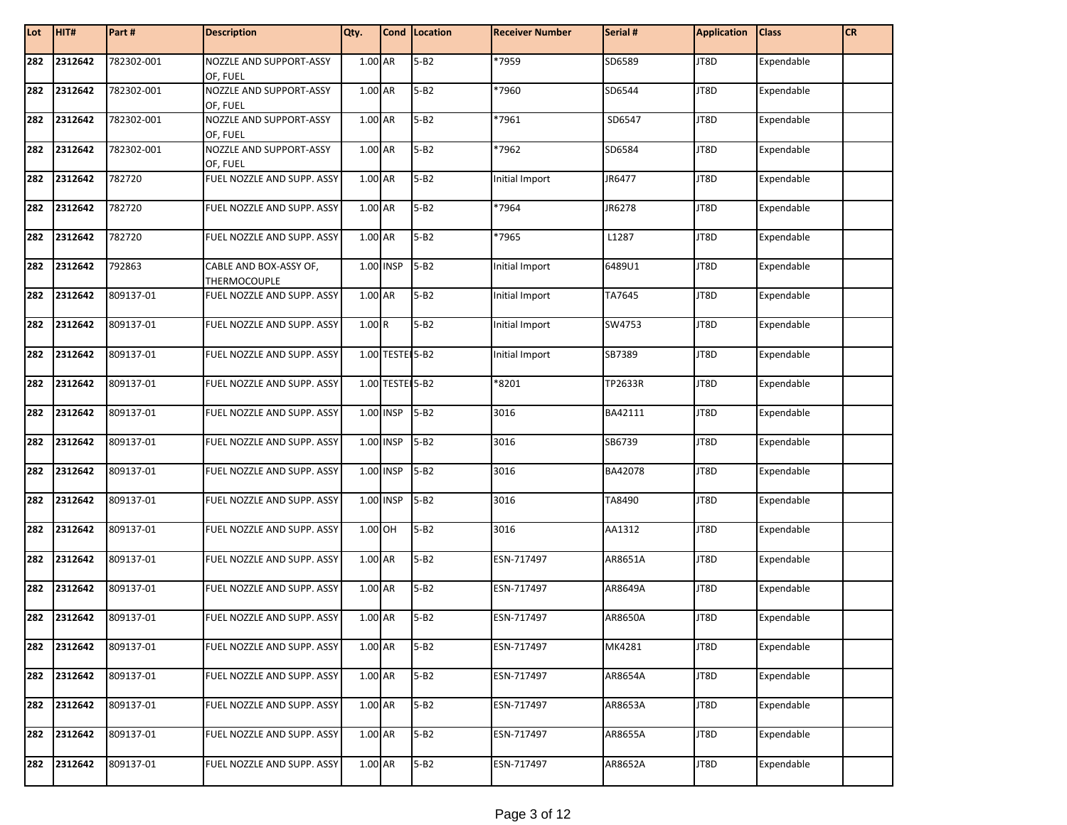| Lot | HIT#    | Part #     | <b>Description</b>                     | Qty.    |                 | Cond Location | <b>Receiver Number</b> | Serial # | <b>Application</b> | <b>Class</b> | <b>CR</b> |
|-----|---------|------------|----------------------------------------|---------|-----------------|---------------|------------------------|----------|--------------------|--------------|-----------|
| 282 | 2312642 | 782302-001 | NOZZLE AND SUPPORT-ASSY<br>OF, FUEL    | 1.00 AR |                 | $5 - B2$      | *7959                  | SD6589   | JT8D               | Expendable   |           |
| 282 | 2312642 | 782302-001 | NOZZLE AND SUPPORT-ASSY<br>OF, FUEL    | 1.00 AR |                 | $5 - B2$      | *7960                  | SD6544   | JT8D               | Expendable   |           |
| 282 | 2312642 | 782302-001 | NOZZLE AND SUPPORT-ASSY<br>OF, FUEL    | 1.00 AR |                 | $5 - B2$      | *7961                  | SD6547   | JT8D               | Expendable   |           |
| 282 | 2312642 | 782302-001 | NOZZLE AND SUPPORT-ASSY<br>OF, FUEL    | 1.00 AR |                 | $5 - B2$      | *7962                  | SD6584   | JT8D               | Expendable   |           |
| 282 | 2312642 | 782720     | FUEL NOZZLE AND SUPP. ASSY             | 1.00 AR |                 | $5 - B2$      | Initial Import         | JR6477   | JT8D               | Expendable   |           |
| 282 | 2312642 | 782720     | FUEL NOZZLE AND SUPP. ASSY             | 1.00 AR |                 | $5 - B2$      | *7964                  | JR6278   | JT8D               | Expendable   |           |
| 282 | 2312642 | 782720     | FUEL NOZZLE AND SUPP. ASSY             | 1.00 AR |                 | $5 - B2$      | *7965                  | L1287    | JT8D               | Expendable   |           |
| 282 | 2312642 | 792863     | CABLE AND BOX-ASSY OF,<br>THERMOCOUPLE |         | 1.00 INSP       | $5 - B2$      | Initial Import         | 6489U1   | JT8D               | Expendable   |           |
| 282 | 2312642 | 809137-01  | FUEL NOZZLE AND SUPP. ASSY             | 1.00 AR |                 | $5 - B2$      | Initial Import         | TA7645   | JT8D               | Expendable   |           |
| 282 | 2312642 | 809137-01  | FUEL NOZZLE AND SUPP. ASSY             | 1.00R   |                 | $5 - B2$      | Initial Import         | SW4753   | JT8D               | Expendable   |           |
| 282 | 2312642 | 809137-01  | FUEL NOZZLE AND SUPP. ASSY             |         | 1.00 TESTE 5-B2 |               | Initial Import         | SB7389   | JT8D               | Expendable   |           |
| 282 | 2312642 | 809137-01  | FUEL NOZZLE AND SUPP. ASSY             |         | 1.00 TESTE 5-B2 |               | *8201                  | TP2633R  | JT8D               | Expendable   |           |
| 282 | 2312642 | 809137-01  | FUEL NOZZLE AND SUPP. ASSY             |         | 1.00 INSP       | $5 - B2$      | 3016                   | BA42111  | JT8D               | Expendable   |           |
| 282 | 2312642 | 809137-01  | FUEL NOZZLE AND SUPP. ASSY             |         | 1.00 INSP       | $5 - B2$      | 3016                   | SB6739   | JT8D               | Expendable   |           |
| 282 | 2312642 | 809137-01  | FUEL NOZZLE AND SUPP. ASSY             |         | 1.00 INSP       | $5 - B2$      | 3016                   | BA42078  | JT8D               | Expendable   |           |
| 282 | 2312642 | 809137-01  | FUEL NOZZLE AND SUPP. ASSY             |         | 1.00 INSP       | $5 - B2$      | 3016                   | TA8490   | JT8D               | Expendable   |           |
| 282 | 2312642 | 809137-01  | FUEL NOZZLE AND SUPP. ASSY             | 1.00 OH |                 | $5 - B2$      | 3016                   | AA1312   | JT8D               | Expendable   |           |
| 282 | 2312642 | 809137-01  | FUEL NOZZLE AND SUPP. ASSY             | 1.00 AR |                 | $5 - B2$      | ESN-717497             | AR8651A  | JT8D               | Expendable   |           |
| 282 | 2312642 | 809137-01  | FUEL NOZZLE AND SUPP. ASSY             | 1.00 AR |                 | $5 - B2$      | ESN-717497             | AR8649A  | JT8D               | Expendable   |           |
| 282 | 2312642 | 809137-01  | FUEL NOZZLE AND SUPP. ASSY             | 1.00 AR |                 | $5 - B2$      | ESN-717497             | AR8650A  | JT8D               | Expendable   |           |
| 282 | 2312642 | 809137-01  | FUEL NOZZLE AND SUPP. ASSY             | 1.00 AR |                 | $5 - B2$      | ESN-717497             | MK4281   | JT8D               | Expendable   |           |
| 282 | 2312642 | 809137-01  | FUEL NOZZLE AND SUPP. ASSY             | 1.00 AR |                 | $5 - B2$      | ESN-717497             | AR8654A  | JT8D               | Expendable   |           |
| 282 | 2312642 | 809137-01  | FUEL NOZZLE AND SUPP. ASSY             | 1.00 AR |                 | $5 - B2$      | ESN-717497             | AR8653A  | JT8D               | Expendable   |           |
| 282 | 2312642 | 809137-01  | FUEL NOZZLE AND SUPP. ASSY             | 1.00 AR |                 | $5 - B2$      | ESN-717497             | AR8655A  | JT8D               | Expendable   |           |
| 282 | 2312642 | 809137-01  | FUEL NOZZLE AND SUPP. ASSY             | 1.00 AR |                 | $5 - B2$      | ESN-717497             | AR8652A  | JT8D               | Expendable   |           |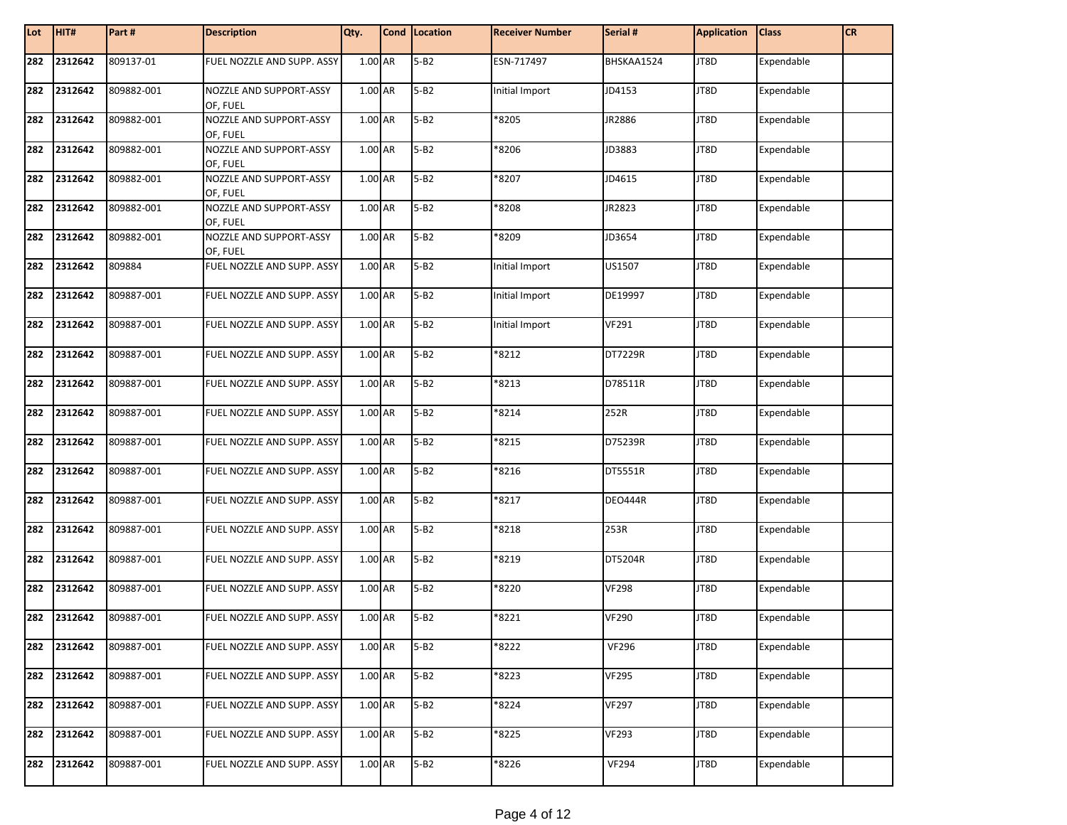| Lot | HIT#    | Part#      | <b>Description</b>                  | Qty.    | Cond   Location | <b>Receiver Number</b> | Serial #       | <b>Application</b> | <b>Class</b> | <b>CR</b> |
|-----|---------|------------|-------------------------------------|---------|-----------------|------------------------|----------------|--------------------|--------------|-----------|
| 282 | 2312642 | 809137-01  | FUEL NOZZLE AND SUPP. ASSY          | 1.00 AR | $5 - B2$        | ESN-717497             | BHSKAA1524     | JT8D               | Expendable   |           |
| 282 | 2312642 | 809882-001 | NOZZLE AND SUPPORT-ASSY<br>OF, FUEL | 1.00 AR | $5 - B2$        | Initial Import         | JD4153         | JT8D               | Expendable   |           |
| 282 | 2312642 | 809882-001 | NOZZLE AND SUPPORT-ASSY<br>OF, FUEL | 1.00 AR | $5 - B2$        | *8205                  | JR2886         | JT8D               | Expendable   |           |
| 282 | 2312642 | 809882-001 | NOZZLE AND SUPPORT-ASSY<br>OF, FUEL | 1.00 AR | $5 - B2$        | *8206                  | JD3883         | JT8D               | Expendable   |           |
| 282 | 2312642 | 809882-001 | NOZZLE AND SUPPORT-ASSY<br>OF, FUEL | 1.00 AR | $5 - B2$        | *8207                  | JD4615         | JT8D               | Expendable   |           |
| 282 | 2312642 | 809882-001 | NOZZLE AND SUPPORT-ASSY<br>OF, FUEL | 1.00 AR | $5 - B2$        | *8208                  | JR2823         | JT8D               | Expendable   |           |
| 282 | 2312642 | 809882-001 | NOZZLE AND SUPPORT-ASSY<br>OF, FUEL | 1.00 AR | $5 - B2$        | *8209                  | JD3654         | JT8D               | Expendable   |           |
| 282 | 2312642 | 809884     | FUEL NOZZLE AND SUPP. ASSY          | 1.00 AR | $5 - B2$        | Initial Import         | US1507         | JT8D               | Expendable   |           |
| 282 | 2312642 | 809887-001 | FUEL NOZZLE AND SUPP. ASSY          | 1.00 AR | $5 - B2$        | Initial Import         | DE19997        | JT8D               | Expendable   |           |
| 282 | 2312642 | 809887-001 | FUEL NOZZLE AND SUPP. ASSY          | 1.00 AR | $5 - B2$        | Initial Import         | <b>VF291</b>   | JT8D               | Expendable   |           |
| 282 | 2312642 | 809887-001 | FUEL NOZZLE AND SUPP. ASSY          | 1.00 AR | $5 - B2$        | *8212                  | DT7229R        | JT8D               | Expendable   |           |
| 282 | 2312642 | 809887-001 | FUEL NOZZLE AND SUPP. ASSY          | 1.00 AR | $5 - B2$        | *8213                  | D78511R        | JT8D               | Expendable   |           |
| 282 | 2312642 | 809887-001 | FUEL NOZZLE AND SUPP. ASSY          | 1.00 AR | $5 - B2$        | *8214                  | 252R           | JT8D               | Expendable   |           |
| 282 | 2312642 | 809887-001 | FUEL NOZZLE AND SUPP. ASSY          | 1.00 AR | $5 - B2$        | *8215                  | D75239R        | JT8D               | Expendable   |           |
| 282 | 2312642 | 809887-001 | FUEL NOZZLE AND SUPP. ASSY          | 1.00 AR | $5 - B2$        | *8216                  | DT5551R        | JT8D               | Expendable   |           |
| 282 | 2312642 | 809887-001 | FUEL NOZZLE AND SUPP. ASSY          | 1.00 AR | $5 - B2$        | *8217                  | <b>DEO444R</b> | JT8D               | Expendable   |           |
| 282 | 2312642 | 809887-001 | FUEL NOZZLE AND SUPP. ASSY          | 1.00 AR | $5 - B2$        | *8218                  | 253R           | JT8D               | Expendable   |           |
| 282 | 2312642 | 809887-001 | FUEL NOZZLE AND SUPP. ASSY          | 1.00 AR | $5 - B2$        | *8219                  | DT5204R        | JT8D               | Expendable   |           |
| 282 | 2312642 | 809887-001 | FUEL NOZZLE AND SUPP. ASSY          | 1.00 AR | $5 - B2$        | *8220                  | <b>VF298</b>   | JT8D               | Expendable   |           |
| 282 | 2312642 | 809887-001 | FUEL NOZZLE AND SUPP. ASSY          | 1.00 AR | $5 - B2$        | *8221                  | <b>VF290</b>   | JT8D               | Expendable   |           |
| 282 | 2312642 | 809887-001 | FUEL NOZZLE AND SUPP. ASSY          | 1.00 AR | $5 - B2$        | *8222                  | <b>VF296</b>   | JT8D               | Expendable   |           |
| 282 | 2312642 | 809887-001 | FUEL NOZZLE AND SUPP. ASSY          | 1.00 AR | $5 - B2$        | *8223                  | <b>VF295</b>   | JT8D               | Expendable   |           |
| 282 | 2312642 | 809887-001 | FUEL NOZZLE AND SUPP. ASSY          | 1.00 AR | $5 - B2$        | *8224                  | <b>VF297</b>   | JT8D               | Expendable   |           |
| 282 | 2312642 | 809887-001 | FUEL NOZZLE AND SUPP. ASSY          | 1.00 AR | $5 - B2$        | *8225                  | <b>VF293</b>   | JT8D               | Expendable   |           |
| 282 | 2312642 | 809887-001 | FUEL NOZZLE AND SUPP. ASSY          | 1.00 AR | $5 - B2$        | *8226                  | <b>VF294</b>   | JT8D               | Expendable   |           |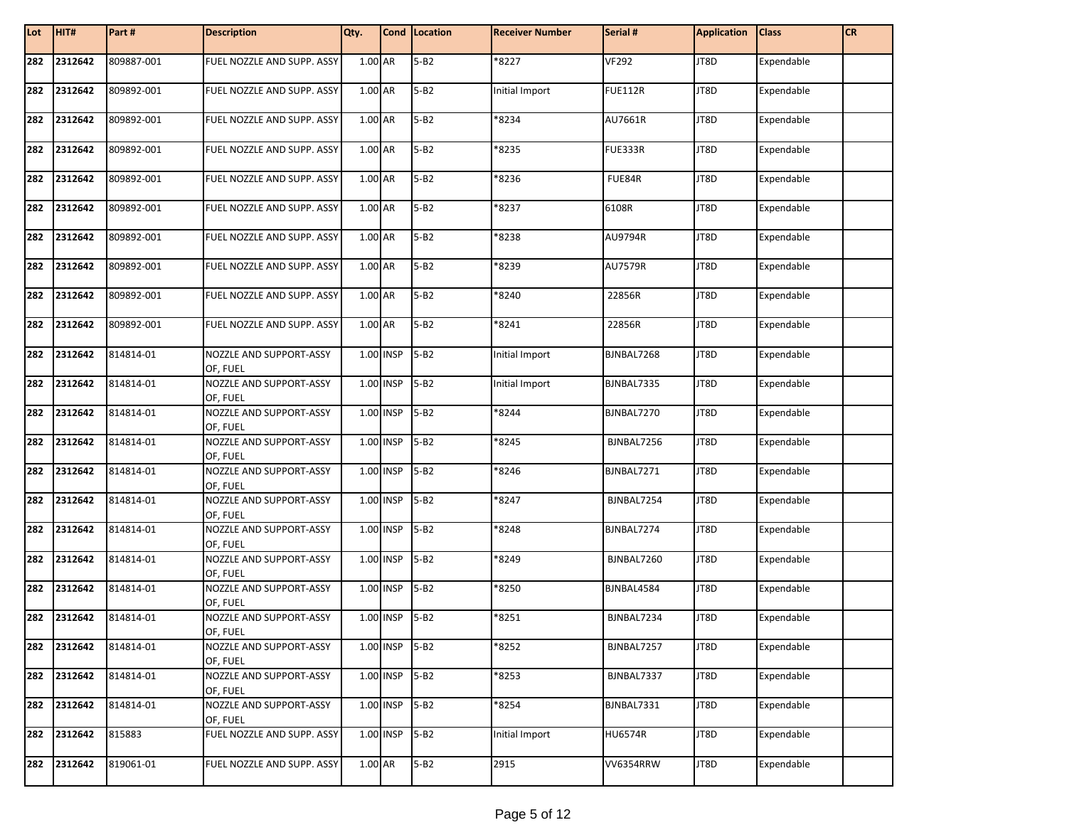| Lot | HIT#    | Part#      | <b>Description</b>                  | Qty.    |             | Cond Location | <b>Receiver Number</b> | Serial #       | <b>Application</b> | <b>Class</b> | <b>CR</b> |
|-----|---------|------------|-------------------------------------|---------|-------------|---------------|------------------------|----------------|--------------------|--------------|-----------|
| 282 | 2312642 | 809887-001 | FUEL NOZZLE AND SUPP. ASSY          | 1.00 AR |             | $5 - B2$      | *8227                  | <b>VF292</b>   | JT8D               | Expendable   |           |
| 282 | 2312642 | 809892-001 | FUEL NOZZLE AND SUPP. ASSY          | 1.00 AR |             | $5 - B2$      | Initial Import         | <b>FUE112R</b> | JT8D               | Expendable   |           |
| 282 | 2312642 | 809892-001 | FUEL NOZZLE AND SUPP. ASSY          | 1.00 AR |             | $5 - B2$      | *8234                  | AU7661R        | JT8D               | Expendable   |           |
| 282 | 2312642 | 809892-001 | FUEL NOZZLE AND SUPP. ASSY          | 1.00 AR |             | $5 - B2$      | *8235                  | <b>FUE333R</b> | JT8D               | Expendable   |           |
| 282 | 2312642 | 809892-001 | FUEL NOZZLE AND SUPP. ASSY          | 1.00 AR |             | $5 - B2$      | *8236                  | FUE84R         | JT8D               | Expendable   |           |
| 282 | 2312642 | 809892-001 | FUEL NOZZLE AND SUPP. ASSY          | 1.00 AR |             | $5 - B2$      | *8237                  | 6108R          | JT8D               | Expendable   |           |
| 282 | 2312642 | 809892-001 | FUEL NOZZLE AND SUPP. ASSY          | 1.00 AR |             | $5 - B2$      | *8238                  | AU9794R        | JT8D               | Expendable   |           |
| 282 | 2312642 | 809892-001 | FUEL NOZZLE AND SUPP. ASSY          | 1.00 AR |             | $5 - B2$      | *8239                  | <b>AU7579R</b> | JT8D               | Expendable   |           |
| 282 | 2312642 | 809892-001 | FUEL NOZZLE AND SUPP. ASSY          | 1.00 AR |             | $5 - B2$      | *8240                  | 22856R         | JT8D               | Expendable   |           |
| 282 | 2312642 | 809892-001 | FUEL NOZZLE AND SUPP. ASSY          | 1.00 AR |             | $5 - B2$      | *8241                  | 22856R         | JT8D               | Expendable   |           |
| 282 | 2312642 | 814814-01  | NOZZLE AND SUPPORT-ASSY<br>OF, FUEL |         | $1.00$ INSP | $5 - B2$      | Initial Import         | BJNBAL7268     | JT8D               | Expendable   |           |
| 282 | 2312642 | 814814-01  | NOZZLE AND SUPPORT-ASSY<br>OF, FUEL |         | 1.00 INSP   | $5 - B2$      | Initial Import         | BJNBAL7335     | JT8D               | Expendable   |           |
| 282 | 2312642 | 814814-01  | NOZZLE AND SUPPORT-ASSY<br>OF, FUEL |         | 1.00 INSP   | $5 - B2$      | *8244                  | BJNBAL7270     | JT8D               | Expendable   |           |
| 282 | 2312642 | 814814-01  | NOZZLE AND SUPPORT-ASSY<br>OF, FUEL |         | 1.00 INSP   | $5 - B2$      | *8245                  | BJNBAL7256     | JT8D               | Expendable   |           |
| 282 | 2312642 | 814814-01  | NOZZLE AND SUPPORT-ASSY<br>OF, FUEL |         | 1.00 INSP   | $5 - B2$      | *8246                  | BJNBAL7271     | JT8D               | Expendable   |           |
| 282 | 2312642 | 814814-01  | NOZZLE AND SUPPORT-ASSY<br>OF, FUEL |         | 1.00 INSP   | $5 - B2$      | *8247                  | BJNBAL7254     | JT8D               | Expendable   |           |
| 282 | 2312642 | 814814-01  | NOZZLE AND SUPPORT-ASSY<br>OF, FUEL |         | 1.00 INSP   | $5 - B2$      | *8248                  | BJNBAL7274     | JT8D               | Expendable   |           |
| 282 | 2312642 | 814814-01  | NOZZLE AND SUPPORT-ASSY<br>OF, FUEL |         | 1.00 INSP   | $5 - B2$      | *8249                  | BJNBAL7260     | JT8D               | Expendable   |           |
| 282 | 2312642 | 814814-01  | NOZZLE AND SUPPORT-ASSY<br>OF, FUEL |         | 1.00 INSP   | $5 - B2$      | *8250                  | BJNBAL4584     | JT8D               | Expendable   |           |
| 282 | 2312642 | 814814-01  | NOZZLE AND SUPPORT-ASSY<br>OF, FUEL |         | 1.00 INSP   | $5 - B2$      | *8251                  | BJNBAL7234     | JT8D               | Expendable   |           |
| 282 | 2312642 | 814814-01  | NOZZLE AND SUPPORT-ASSY<br>OF, FUEL |         | 1.00 INSP   | $5-B2$        | *8252                  | BJNBAL7257     | JT8D               | Expendable   |           |
| 282 | 2312642 | 814814-01  | NOZZLE AND SUPPORT-ASSY<br>OF, FUEL |         | 1.00 INSP   | $5 - B2$      | *8253                  | BJNBAL7337     | JT8D               | Expendable   |           |
| 282 | 2312642 | 814814-01  | NOZZLE AND SUPPORT-ASSY<br>OF, FUEL |         | 1.00 INSP   | $5 - B2$      | *8254                  | BJNBAL7331     | JT8D               | Expendable   |           |
| 282 | 2312642 | 815883     | FUEL NOZZLE AND SUPP. ASSY          |         | 1.00 INSP   | $5 - B2$      | Initial Import         | <b>HU6574R</b> | JT8D               | Expendable   |           |
| 282 | 2312642 | 819061-01  | FUEL NOZZLE AND SUPP. ASSY          | 1.00 AR |             | $5 - B2$      | 2915                   | VV6354RRW      | JT8D               | Expendable   |           |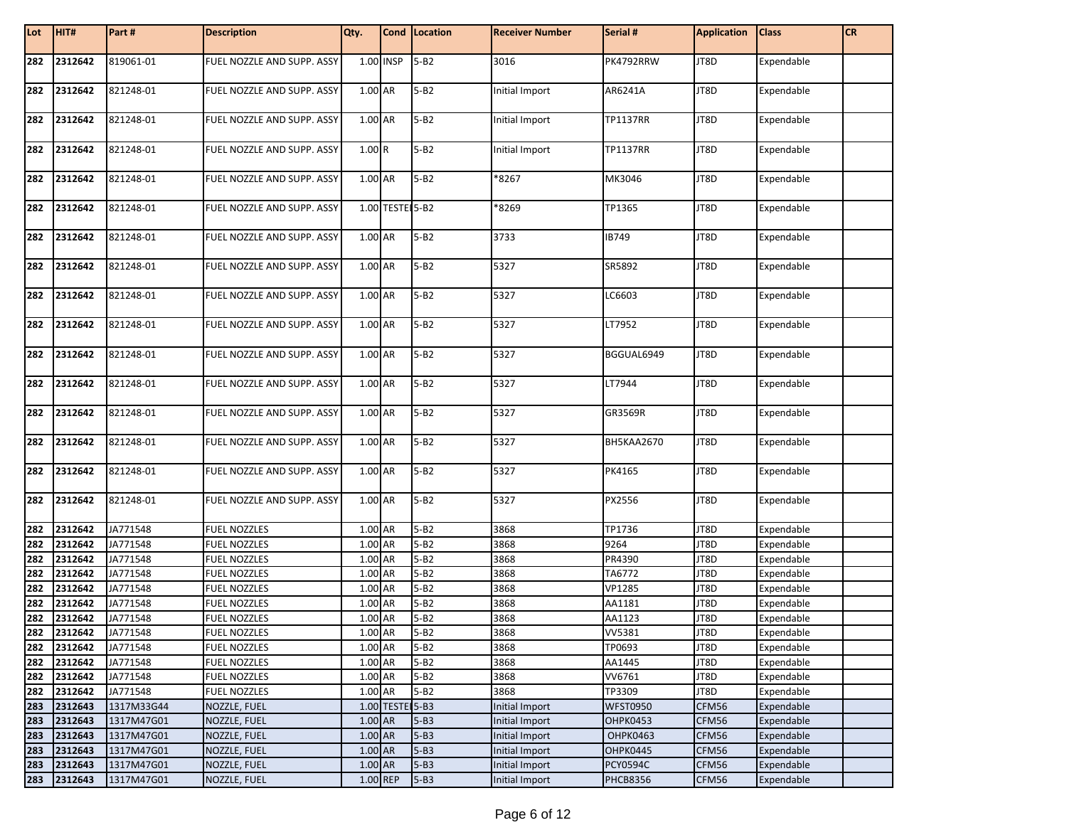| Lot | HIT#        | Part#      | <b>Description</b>         | Qty.        |                 | Cond Location | <b>Receiver Number</b> | Serial #        | <b>Application</b> | <b>Class</b> | <b>CR</b> |
|-----|-------------|------------|----------------------------|-------------|-----------------|---------------|------------------------|-----------------|--------------------|--------------|-----------|
| 282 | 2312642     | 819061-01  | FUEL NOZZLE AND SUPP. ASSY | $1.00$ INSP |                 | $5 - B2$      | 3016                   | PK4792RRW       | JT8D               | Expendable   |           |
| 282 | 2312642     | 821248-01  | FUEL NOZZLE AND SUPP. ASSY | 1.00 AR     |                 | $5 - B2$      | Initial Import         | AR6241A         | JT8D               | Expendable   |           |
| 282 | 2312642     | 821248-01  | FUEL NOZZLE AND SUPP. ASSY | 1.00 AR     |                 | $5 - B2$      | Initial Import         | <b>TP1137RR</b> | JT8D               | Expendable   |           |
| 282 | 2312642     | 821248-01  | FUEL NOZZLE AND SUPP. ASSY | 1.00R       |                 | $5 - B2$      | Initial Import         | <b>TP1137RR</b> | JT8D               | Expendable   |           |
| 282 | 2312642     | 821248-01  | FUEL NOZZLE AND SUPP. ASSY | 1.00 AR     |                 | $5 - B2$      | *8267                  | MK3046          | JT8D               | Expendable   |           |
| 282 | 2312642     | 821248-01  | FUEL NOZZLE AND SUPP. ASSY |             | 1.00 TESTE 5-B2 |               | *8269                  | TP1365          | JT8D               | Expendable   |           |
| 282 | 2312642     | 821248-01  | FUEL NOZZLE AND SUPP. ASSY | 1.00 AR     |                 | $5 - B2$      | 3733                   | IB749           | JT8D               | Expendable   |           |
| 282 | 2312642     | 821248-01  | FUEL NOZZLE AND SUPP. ASSY | 1.00 AR     |                 | $5 - B2$      | 5327                   | SR5892          | JT8D               | Expendable   |           |
| 282 | 2312642     | 821248-01  | FUEL NOZZLE AND SUPP. ASSY | 1.00 AR     |                 | $5 - B2$      | 5327                   | LC6603          | JT8D               | Expendable   |           |
| 282 | 2312642     | 821248-01  | FUEL NOZZLE AND SUPP. ASSY | 1.00 AR     |                 | $5 - B2$      | 5327                   | LT7952          | JT8D               | Expendable   |           |
| 282 | 2312642     | 821248-01  | FUEL NOZZLE AND SUPP. ASSY | 1.00 AR     |                 | $5 - B2$      | 5327                   | BGGUAL6949      | JT8D               | Expendable   |           |
| 282 | 2312642     | 821248-01  | FUEL NOZZLE AND SUPP. ASSY | 1.00 AR     |                 | $5 - B2$      | 5327                   | LT7944          | JT8D               | Expendable   |           |
| 282 | 2312642     | 821248-01  | FUEL NOZZLE AND SUPP. ASSY | 1.00 AR     |                 | $5 - B2$      | 5327                   | GR3569R         | JT8D               | Expendable   |           |
| 282 | 2312642     | 821248-01  | FUEL NOZZLE AND SUPP. ASSY | 1.00 AR     |                 | $5 - B2$      | 5327                   | BH5KAA2670      | JT8D               | Expendable   |           |
| 282 | 2312642     | 821248-01  | FUEL NOZZLE AND SUPP. ASSY | 1.00 AR     |                 | $5 - B2$      | 5327                   | PK4165          | JT8D               | Expendable   |           |
| 282 | 2312642     | 821248-01  | FUEL NOZZLE AND SUPP. ASSY | 1.00 AR     |                 | $5 - B2$      | 5327                   | PX2556          | JT8D               | Expendable   |           |
| 282 | 2312642     | JA771548   | <b>FUEL NOZZLES</b>        | 1.00 AR     |                 | $5 - B2$      | 3868                   | TP1736          | JT8D               | Expendable   |           |
| 282 | 2312642     | JA771548   | <b>FUEL NOZZLES</b>        | 1.00 AR     |                 | $5 - B2$      | 3868                   | 9264            | JT8D               | Expendable   |           |
| 282 | 2312642     | JA771548   | <b>FUEL NOZZLES</b>        | 1.00 AR     |                 | $5 - B2$      | 3868                   | PR4390          | JT8D               | Expendable   |           |
| 282 | 2312642     | JA771548   | <b>FUEL NOZZLES</b>        | 1.00 AR     |                 | $5 - B2$      | 3868                   | TA6772          | JT8D               | Expendable   |           |
| 282 | 2312642     | JA771548   | <b>FUEL NOZZLES</b>        | 1.00 AR     |                 | $5 - B2$      | 3868                   | <b>VP1285</b>   | JT8D               | Expendable   |           |
| 282 | 2312642     | JA771548   | <b>FUEL NOZZLES</b>        | 1.00 AR     |                 | $5 - B2$      | 3868                   | AA1181          | JT8D               | Expendable   |           |
| 282 | 2312642     | JA771548   | <b>FUEL NOZZLES</b>        | 1.00 AR     |                 | $5 - B2$      | 3868                   | AA1123          | JT8D               | Expendable   |           |
|     | 282 2312642 | JA771548   | <b>FUEL NOZZLES</b>        | 1.00 AR     |                 | 5-B2          | 3868                   | VV5381          | JT8D               | Expendable   |           |
| 282 | 2312642     | JA771548   | <b>FUEL NOZZLES</b>        | 1.00 AR     |                 | $5 - B2$      | 3868                   | TP0693          | JT8D               | Expendable   |           |
|     | 282 2312642 | JA771548   | <b>FUEL NOZZLES</b>        | 1.00 AR     |                 | $5 - B2$      | 3868                   | AA1445          | JT8D               | Expendable   |           |
| 282 | 2312642     | JA771548   | <b>FUEL NOZZLES</b>        | 1.00 AR     |                 | $5 - B2$      | 3868                   | VV6761          | JT8D               | Expendable   |           |
| 282 | 2312642     | JA771548   | <b>FUEL NOZZLES</b>        | 1.00 AR     |                 | $5 - B2$      | 3868                   | TP3309          | JT8D               | Expendable   |           |
| 283 | 2312643     | 1317M33G44 | NOZZLE, FUEL               |             | 1.00 TESTE 5-B3 |               | <b>Initial Import</b>  | <b>WFST0950</b> | CFM56              | Expendable   |           |
| 283 | 2312643     | 1317M47G01 | NOZZLE, FUEL               | 1.00 AR     |                 | $5 - B3$      | Initial Import         | <b>OHPK0453</b> | CFM56              | Expendable   |           |
| 283 | 2312643     | 1317M47G01 | NOZZLE, FUEL               | 1.00 AR     |                 | $5 - B3$      | Initial Import         | OHPK0463        | CFM56              | Expendable   |           |
| 283 | 2312643     | 1317M47G01 | NOZZLE, FUEL               | 1.00 AR     |                 | $5 - B3$      | Initial Import         | <b>OHPK0445</b> | CFM56              | Expendable   |           |
| 283 | 2312643     | 1317M47G01 | <b>NOZZLE, FUEL</b>        | 1.00 AR     |                 | $5 - B3$      | Initial Import         | <b>PCY0594C</b> | CFM56              | Expendable   |           |
| 283 | 2312643     | 1317M47G01 | NOZZLE, FUEL               | 1.00 REP    |                 | $5 - B3$      | Initial Import         | <b>PHCB8356</b> | CFM56              | Expendable   |           |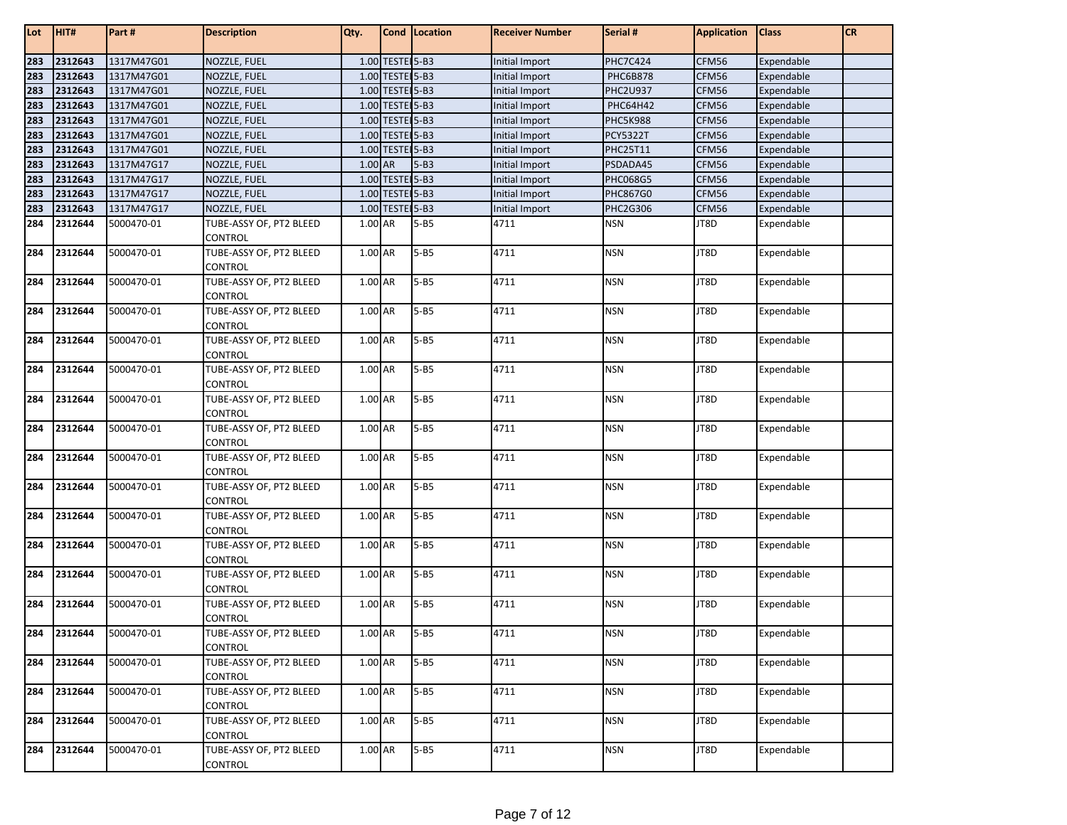| Lot | HIT#    | Part#      | <b>Description</b>                 | Qty.    |                 | Cond   Location | <b>Receiver Number</b> | Serial #        | <b>Application</b> | <b>Class</b> | <b>CR</b> |
|-----|---------|------------|------------------------------------|---------|-----------------|-----------------|------------------------|-----------------|--------------------|--------------|-----------|
| 283 | 2312643 | 1317M47G01 | NOZZLE, FUEL                       |         | 1.00 TESTE 5-B3 |                 | Initial Import         | <b>PHC7C424</b> | CFM56              | Expendable   |           |
| 283 | 2312643 | 1317M47G01 | NOZZLE, FUEL                       |         | 1.00 TESTE 5-B3 |                 | Initial Import         | <b>PHC6B878</b> | CFM56              | Expendable   |           |
| 283 | 2312643 | 1317M47G01 | NOZZLE, FUEL                       |         | 1.00 TESTE 5-B3 |                 | Initial Import         | <b>PHC2U937</b> | CFM56              | Expendable   |           |
| 283 | 2312643 | 1317M47G01 | NOZZLE, FUEL                       |         | 1.00 TESTE 5-B3 |                 | Initial Import         | PHC64H42        | CFM56              | Expendable   |           |
| 283 | 2312643 | 1317M47G01 | NOZZLE, FUEL                       |         | 1.00 TESTE 5-B3 |                 | Initial Import         | <b>PHC5K988</b> | CFM56              | Expendable   |           |
| 283 | 2312643 | 1317M47G01 | NOZZLE, FUEL                       |         | 1.00 TESTE 5-B3 |                 | Initial Import         | <b>PCY5322T</b> | CFM56              | Expendable   |           |
| 283 | 2312643 | 1317M47G01 | NOZZLE, FUEL                       |         | 1.00 TESTE 5-B3 |                 | Initial Import         | <b>PHC25T11</b> | CFM56              | Expendable   |           |
| 283 | 2312643 | 1317M47G17 | NOZZLE, FUEL                       | 1.00 AR |                 | $5 - B3$        | Initial Import         | PSDADA45        | CFM56              | Expendable   |           |
| 283 | 2312643 | 1317M47G17 | NOZZLE, FUEL                       |         | 1.00 TESTE 5-B3 |                 | Initial Import         | <b>PHC068G5</b> | CFM56              | Expendable   |           |
| 283 | 2312643 | 1317M47G17 | NOZZLE, FUEL                       |         | 1.00 TESTE 5-B3 |                 | <b>Initial Import</b>  | PHC867G0        | CFM56              | Expendable   |           |
| 283 | 2312643 | 1317M47G17 | NOZZLE, FUEL                       |         | 1.00 TESTE 5-B3 |                 | Initial Import         | <b>PHC2G306</b> | CFM56              | Expendable   |           |
| 284 | 2312644 | 5000470-01 | TUBE-ASSY OF, PT2 BLEED            | 1.00 AR |                 | $5 - B5$        | 4711                   | <b>NSN</b>      | JT8D               | Expendable   |           |
|     |         |            | CONTROL                            |         |                 |                 |                        |                 |                    |              |           |
| 284 | 2312644 | 5000470-01 | TUBE-ASSY OF, PT2 BLEED            | 1.00 AR |                 | $5 - B5$        | 4711                   | <b>NSN</b>      | JT8D               | Expendable   |           |
|     |         |            | CONTROL                            |         |                 |                 |                        |                 |                    |              |           |
| 284 | 2312644 | 5000470-01 | TUBE-ASSY OF, PT2 BLEED            | 1.00 AR |                 | $5 - B5$        | 4711                   | <b>NSN</b>      | JT8D               | Expendable   |           |
|     |         |            | CONTROL                            |         |                 |                 |                        |                 |                    |              |           |
| 284 | 2312644 | 5000470-01 | TUBE-ASSY OF, PT2 BLEED            | 1.00 AR |                 | $5 - B5$        | 4711                   | <b>NSN</b>      | JT8D               | Expendable   |           |
|     |         |            | CONTROL                            |         |                 |                 |                        |                 |                    |              |           |
| 284 | 2312644 | 5000470-01 | TUBE-ASSY OF, PT2 BLEED            | 1.00 AR |                 | $5 - B5$        | 4711                   | <b>NSN</b>      | JT8D               | Expendable   |           |
|     |         |            | CONTROL                            |         |                 |                 |                        |                 |                    |              |           |
| 284 | 2312644 | 5000470-01 | TUBE-ASSY OF, PT2 BLEED            | 1.00 AR |                 | $5 - B5$        | 4711                   | <b>NSN</b>      | JT8D               | Expendable   |           |
|     |         |            | CONTROL                            |         |                 |                 |                        |                 |                    |              |           |
| 284 | 2312644 | 5000470-01 | TUBE-ASSY OF, PT2 BLEED            | 1.00 AR |                 | $5 - B5$        | 4711                   | NSN             | JT8D               | Expendable   |           |
|     |         |            | CONTROL                            |         |                 |                 |                        |                 |                    |              |           |
| 284 | 2312644 | 5000470-01 | TUBE-ASSY OF, PT2 BLEED            | 1.00 AR |                 | $5 - B5$        | 4711                   | <b>NSN</b>      | JT8D               | Expendable   |           |
|     |         |            | CONTROL                            |         |                 |                 |                        |                 |                    |              |           |
| 284 | 2312644 | 5000470-01 | TUBE-ASSY OF, PT2 BLEED            | 1.00 AR |                 | $5 - B5$        | 4711                   | <b>NSN</b>      | JT8D               | Expendable   |           |
|     |         |            | CONTROL                            |         |                 |                 |                        |                 |                    |              |           |
| 284 | 2312644 | 5000470-01 | TUBE-ASSY OF, PT2 BLEED            | 1.00 AR |                 | $5 - B5$        | 4711                   | <b>NSN</b>      | JT8D               | Expendable   |           |
|     |         |            | CONTROL                            |         |                 |                 |                        |                 |                    |              |           |
| 284 | 2312644 | 5000470-01 | TUBE-ASSY OF, PT2 BLEED            | 1.00 AR |                 | $5 - B5$        | 4711                   | <b>NSN</b>      | JT8D               | Expendable   |           |
|     |         |            | CONTROL                            |         |                 |                 |                        |                 |                    |              |           |
| 284 | 2312644 | 5000470-01 | TUBE-ASSY OF, PT2 BLEED            | 1.00 AR |                 | $5 - B5$        | 4711                   | <b>NSN</b>      | JT8D               | Expendable   |           |
|     |         |            | CONTROL                            |         |                 |                 |                        |                 |                    |              |           |
| 284 | 2312644 | 5000470-01 | TUBE-ASSY OF, PT2 BLEED            | 1.00 AR |                 | $5 - B5$        | 4711                   | <b>NSN</b>      | JT8D               | Expendable   |           |
|     |         |            | <b>CONTROL</b>                     |         |                 |                 |                        |                 |                    |              |           |
| 284 | 2312644 | 5000470-01 | TUBE-ASSY OF, PT2 BLEED            | 1.00 AR |                 | $5 - B5$        | 4711                   | <b>NSN</b>      | JT8D               | Expendable   |           |
|     |         |            | CONTROL                            |         |                 |                 |                        |                 |                    |              |           |
| 284 | 2312644 | 5000470-01 | TUBE-ASSY OF, PT2 BLEED<br>CONTROL | 1.00 AR |                 | $5 - B5$        | 4711                   | <b>NSN</b>      | JT8D               | Expendable   |           |
| 284 | 2312644 | 5000470-01 | TUBE-ASSY OF, PT2 BLEED            | 1.00 AR |                 | $5 - B5$        | 4711                   | <b>NSN</b>      | JT8D               | Expendable   |           |
|     |         |            | CONTROL                            |         |                 |                 |                        |                 |                    |              |           |
| 284 | 2312644 | 5000470-01 | TUBE-ASSY OF, PT2 BLEED            | 1.00 AR |                 | $5 - B5$        | 4711                   | <b>NSN</b>      | JT8D               | Expendable   |           |
|     |         |            | CONTROL                            |         |                 |                 |                        |                 |                    |              |           |
| 284 | 2312644 | 5000470-01 | TUBE-ASSY OF, PT2 BLEED            | 1.00 AR |                 | $5 - B5$        | 4711                   | <b>NSN</b>      | JT8D               | Expendable   |           |
|     |         |            | CONTROL                            |         |                 |                 |                        |                 |                    |              |           |
| 284 | 2312644 | 5000470-01 | TUBE-ASSY OF, PT2 BLEED            | 1.00 AR |                 | $5 - B5$        | 4711                   | <b>NSN</b>      | JT8D               | Expendable   |           |
|     |         |            | CONTROL                            |         |                 |                 |                        |                 |                    |              |           |
|     |         |            |                                    |         |                 |                 |                        |                 |                    |              |           |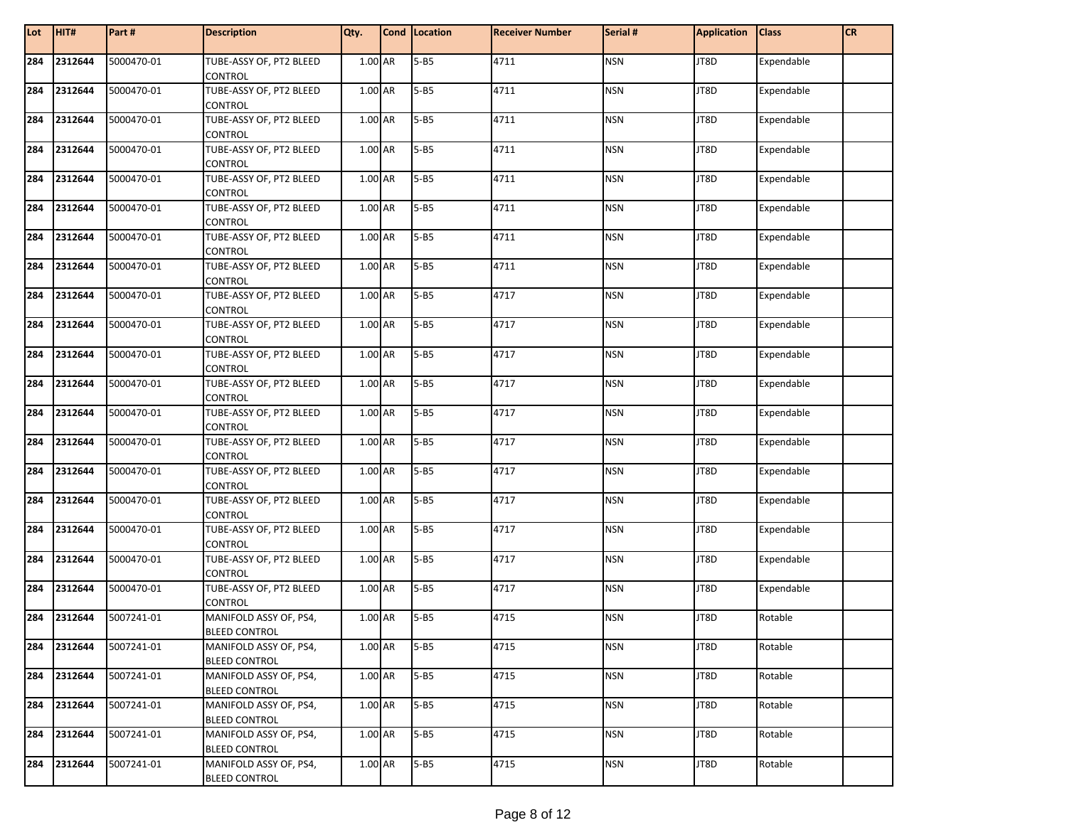| Lot | HIT#    | Part#      | <b>Description</b>                             | Qty.      | Cond Location | <b>Receiver Number</b> | Serial #   | <b>Application</b> | <b>Class</b> | CR |
|-----|---------|------------|------------------------------------------------|-----------|---------------|------------------------|------------|--------------------|--------------|----|
| 284 | 2312644 | 5000470-01 | TUBE-ASSY OF, PT2 BLEED<br>CONTROL             | 1.00 AR   | $5 - B5$      | 4711                   | <b>NSN</b> | JT8D               | Expendable   |    |
| 284 | 2312644 | 5000470-01 | TUBE-ASSY OF, PT2 BLEED                        | 1.00 AR   | $5 - B5$      | 4711                   | <b>NSN</b> | JT8D               | Expendable   |    |
|     |         |            | CONTROL                                        |           |               |                        |            |                    |              |    |
| 284 | 2312644 | 5000470-01 | TUBE-ASSY OF, PT2 BLEED                        | 1.00 AR   | $5 - B5$      | 4711                   | <b>NSN</b> | JT8D               | Expendable   |    |
|     |         |            | CONTROL                                        |           |               |                        |            |                    |              |    |
| 284 | 2312644 | 5000470-01 | TUBE-ASSY OF, PT2 BLEED                        | 1.00 AR   | $5 - B5$      | 4711                   | <b>NSN</b> | JT8D               | Expendable   |    |
|     |         |            | CONTROL                                        |           |               |                        |            |                    |              |    |
| 284 | 2312644 | 5000470-01 | TUBE-ASSY OF, PT2 BLEED                        | 1.00 AR   | $5 - B5$      | 4711                   | <b>NSN</b> | JT8D               | Expendable   |    |
| 284 | 2312644 | 5000470-01 | CONTROL<br>TUBE-ASSY OF, PT2 BLEED             | 1.00 AR   | $5 - B5$      | 4711                   | <b>NSN</b> | JT8D               | Expendable   |    |
|     |         |            | <b>CONTROL</b>                                 |           |               |                        |            |                    |              |    |
| 284 | 2312644 | 5000470-01 | TUBE-ASSY OF, PT2 BLEED                        | 1.00 AR   | $5 - B5$      | 4711                   | <b>NSN</b> | JT8D               | Expendable   |    |
|     |         |            | CONTROL                                        |           |               |                        |            |                    |              |    |
| 284 | 2312644 | 5000470-01 | TUBE-ASSY OF, PT2 BLEED                        | 1.00 AR   | $5 - B5$      | 4711                   | <b>NSN</b> | JT8D               | Expendable   |    |
|     |         |            | CONTROL                                        |           |               |                        |            |                    |              |    |
| 284 | 2312644 | 5000470-01 | TUBE-ASSY OF, PT2 BLEED                        | 1.00 AR   | $5 - B5$      | 4717                   | <b>NSN</b> | JT8D               | Expendable   |    |
|     |         |            | CONTROL                                        |           |               |                        |            |                    |              |    |
| 284 | 2312644 | 5000470-01 | TUBE-ASSY OF, PT2 BLEED                        | 1.00 AR   | $5 - B5$      | 4717                   | <b>NSN</b> | JT8D               | Expendable   |    |
| 284 | 2312644 | 5000470-01 | CONTROL<br>TUBE-ASSY OF, PT2 BLEED             | 1.00 AR   | $5 - B5$      | 4717                   | <b>NSN</b> | JT8D               | Expendable   |    |
|     |         |            | CONTROL                                        |           |               |                        |            |                    |              |    |
| 284 | 2312644 | 5000470-01 | TUBE-ASSY OF, PT2 BLEED                        | 1.00 AR   | $5 - B5$      | 4717                   | <b>NSN</b> | JT8D               | Expendable   |    |
|     |         |            | CONTROL                                        |           |               |                        |            |                    |              |    |
| 284 | 2312644 | 5000470-01 | TUBE-ASSY OF, PT2 BLEED                        | 1.00 AR   | $5 - B5$      | 4717                   | <b>NSN</b> | JT8D               | Expendable   |    |
|     |         |            | CONTROL                                        |           |               |                        |            |                    |              |    |
| 284 | 2312644 | 5000470-01 | TUBE-ASSY OF, PT2 BLEED                        | $1.00$ AR | $5 - B5$      | 4717                   | <b>NSN</b> | JT8D               | Expendable   |    |
|     |         |            | CONTROL                                        |           |               |                        |            |                    |              |    |
| 284 | 2312644 | 5000470-01 | TUBE-ASSY OF, PT2 BLEED                        | 1.00 AR   | $5 - B5$      | 4717                   | <b>NSN</b> | JT8D               | Expendable   |    |
|     |         |            | CONTROL                                        |           |               |                        |            |                    |              |    |
| 284 | 2312644 | 5000470-01 | TUBE-ASSY OF, PT2 BLEED<br>CONTROL             | 1.00 AR   | $5 - B5$      | 4717                   | <b>NSN</b> | JT8D               | Expendable   |    |
| 284 | 2312644 | 5000470-01 | TUBE-ASSY OF, PT2 BLEED                        | 1.00 AR   | $5 - B5$      | 4717                   | <b>NSN</b> | JT8D               | Expendable   |    |
|     |         |            | <b>CONTROL</b>                                 |           |               |                        |            |                    |              |    |
| 284 | 2312644 | 5000470-01 | TUBE-ASSY OF, PT2 BLEED                        | 1.00 AR   | $5 - B5$      | 4717                   | <b>NSN</b> | JT8D               | Expendable   |    |
|     |         |            | CONTROL                                        |           |               |                        |            |                    |              |    |
| 284 | 2312644 | 5000470-01 | TUBE-ASSY OF, PT2 BLEED                        | 1.00 AR   | $5 - B5$      | 4717                   | <b>NSN</b> | JT8D               | Expendable   |    |
|     |         |            | CONTROL                                        |           |               |                        |            |                    |              |    |
| 284 | 2312644 | 5007241-01 | MANIFOLD ASSY OF, PS4,                         | 1.00 AR   | $5 - B5$      | 4715                   | <b>NSN</b> | JT8D               | Rotable      |    |
|     |         |            | <b>BLEED CONTROL</b>                           |           |               |                        |            |                    |              |    |
| 284 | 2312644 | 5007241-01 | MANIFOLD ASSY OF, PS4,<br><b>BLEED CONTROL</b> | 1.00 AR   | $5 - B5$      | 4715                   | <b>NSN</b> | JT8D               | Rotable      |    |
| 284 | 2312644 | 5007241-01 | MANIFOLD ASSY OF, PS4,                         | 1.00 AR   | $5 - B5$      | 4715                   | <b>NSN</b> | JT8D               | Rotable      |    |
|     |         |            | <b>BLEED CONTROL</b>                           |           |               |                        |            |                    |              |    |
| 284 | 2312644 | 5007241-01 | MANIFOLD ASSY OF, PS4,                         | 1.00 AR   | $5 - B5$      | 4715                   | <b>NSN</b> | JT8D               | Rotable      |    |
|     |         |            | <b>BLEED CONTROL</b>                           |           |               |                        |            |                    |              |    |
| 284 | 2312644 | 5007241-01 | MANIFOLD ASSY OF, PS4,                         | 1.00 AR   | $5 - B5$      | 4715                   | <b>NSN</b> | JT8D               | Rotable      |    |
|     |         |            | <b>BLEED CONTROL</b>                           |           |               |                        |            |                    |              |    |
| 284 | 2312644 | 5007241-01 | MANIFOLD ASSY OF, PS4,                         | 1.00 AR   | $5 - B5$      | 4715                   | <b>NSN</b> | JT8D               | Rotable      |    |
|     |         |            | <b>BLEED CONTROL</b>                           |           |               |                        |            |                    |              |    |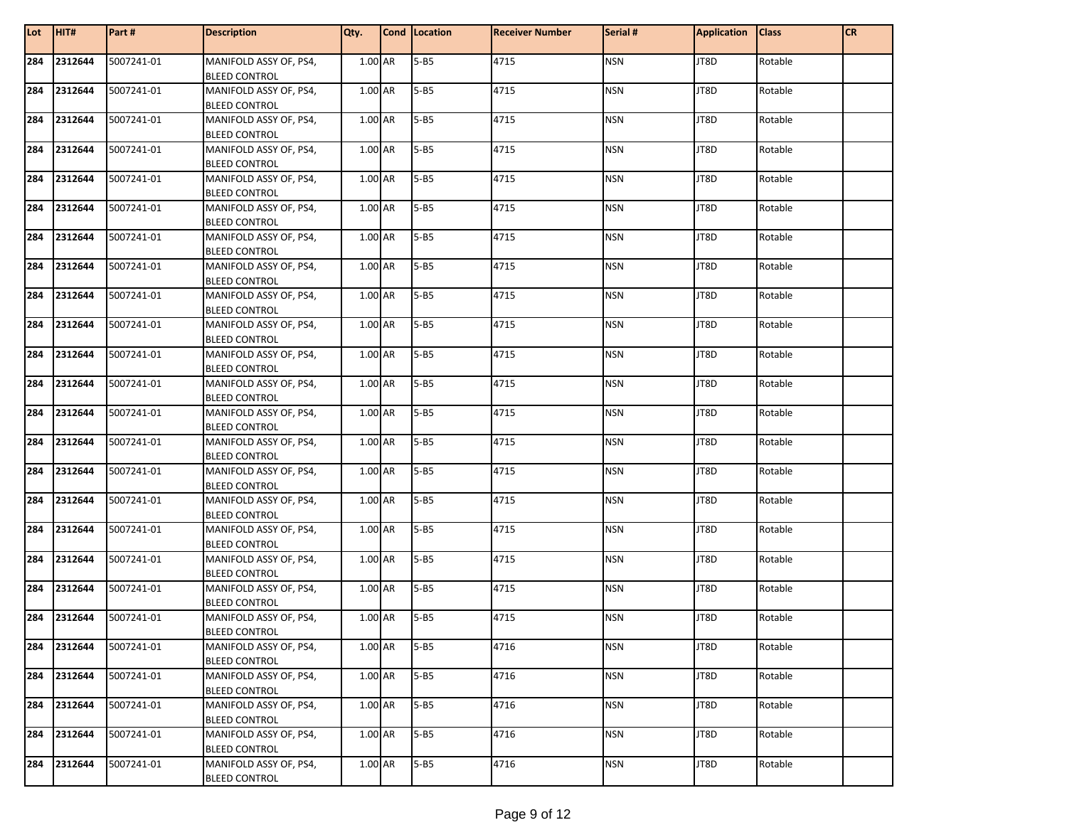| Lot | HIT#        | Part#      | <b>Description</b>                             | Qty.    | Cond Location | <b>Receiver Number</b> | Serial #   | <b>Application</b> | <b>Class</b> | <b>CR</b> |
|-----|-------------|------------|------------------------------------------------|---------|---------------|------------------------|------------|--------------------|--------------|-----------|
| 284 | 2312644     | 5007241-01 | MANIFOLD ASSY OF, PS4,<br><b>BLEED CONTROL</b> | 1.00 AR | $5 - B5$      | 4715                   | <b>NSN</b> | JT8D               | Rotable      |           |
| 284 | 2312644     | 5007241-01 | MANIFOLD ASSY OF, PS4,<br><b>BLEED CONTROL</b> | 1.00 AR | $5 - B5$      | 4715                   | <b>NSN</b> | JT8D               | Rotable      |           |
| 284 | 2312644     | 5007241-01 | MANIFOLD ASSY OF, PS4,<br><b>BLEED CONTROL</b> | 1.00 AR | $5 - B5$      | 4715                   | <b>NSN</b> | JT8D               | Rotable      |           |
| 284 | 2312644     | 5007241-01 | MANIFOLD ASSY OF, PS4,<br><b>BLEED CONTROL</b> | 1.00 AR | $5 - B5$      | 4715                   | <b>NSN</b> | JT8D               | Rotable      |           |
| 284 | 2312644     | 5007241-01 | MANIFOLD ASSY OF, PS4,<br><b>BLEED CONTROL</b> | 1.00 AR | $5 - B5$      | 4715                   | <b>NSN</b> | JT8D               | Rotable      |           |
| 284 | 2312644     | 5007241-01 | MANIFOLD ASSY OF, PS4,<br><b>BLEED CONTROL</b> | 1.00 AR | $5 - B5$      | 4715                   | <b>NSN</b> | JT8D               | Rotable      |           |
| 284 | 2312644     | 5007241-01 | MANIFOLD ASSY OF, PS4,<br><b>BLEED CONTROL</b> | 1.00 AR | $5 - B5$      | 4715                   | <b>NSN</b> | JT8D               | Rotable      |           |
| 284 | 2312644     | 5007241-01 | MANIFOLD ASSY OF, PS4,<br><b>BLEED CONTROL</b> | 1.00 AR | $5 - B5$      | 4715                   | <b>NSN</b> | JT8D               | Rotable      |           |
| 284 | 2312644     | 5007241-01 | MANIFOLD ASSY OF, PS4,<br><b>BLEED CONTROL</b> | 1.00 AR | $5 - B5$      | 4715                   | <b>NSN</b> | JT8D               | Rotable      |           |
| 284 | 2312644     | 5007241-01 | MANIFOLD ASSY OF, PS4,<br><b>BLEED CONTROL</b> | 1.00 AR | $5 - B5$      | 4715                   | <b>NSN</b> | JT8D               | Rotable      |           |
| 284 | 2312644     | 5007241-01 | MANIFOLD ASSY OF, PS4,<br><b>BLEED CONTROL</b> | 1.00 AR | $5 - B5$      | 4715                   | <b>NSN</b> | JT8D               | Rotable      |           |
| 284 | 2312644     | 5007241-01 | MANIFOLD ASSY OF, PS4,<br><b>BLEED CONTROL</b> | 1.00 AR | $5 - B5$      | 4715                   | <b>NSN</b> | JT8D               | Rotable      |           |
| 284 | 2312644     | 5007241-01 | MANIFOLD ASSY OF, PS4,<br><b>BLEED CONTROL</b> | 1.00 AR | $5 - B5$      | 4715                   | <b>NSN</b> | JT8D               | Rotable      |           |
| 284 | 2312644     | 5007241-01 | MANIFOLD ASSY OF, PS4,<br><b>BLEED CONTROL</b> | 1.00 AR | $5 - B5$      | 4715                   | <b>NSN</b> | JT8D               | Rotable      |           |
| 284 | 2312644     | 5007241-01 | MANIFOLD ASSY OF, PS4,<br><b>BLEED CONTROL</b> | 1.00 AR | $5 - B5$      | 4715                   | <b>NSN</b> | JT8D               | Rotable      |           |
| 284 | 2312644     | 5007241-01 | MANIFOLD ASSY OF, PS4,<br><b>BLEED CONTROL</b> | 1.00 AR | $5 - B5$      | 4715                   | <b>NSN</b> | JT8D               | Rotable      |           |
| 284 | 2312644     | 5007241-01 | MANIFOLD ASSY OF, PS4,<br><b>BLEED CONTROL</b> | 1.00 AR | $5 - B5$      | 4715                   | <b>NSN</b> | JT8D               | Rotable      |           |
| 284 | 2312644     | 5007241-01 | MANIFOLD ASSY OF, PS4,<br><b>BLEED CONTROL</b> | 1.00 AR | $5 - B5$      | 4715                   | <b>NSN</b> | JT8D               | Rotable      |           |
| 284 | 2312644     | 5007241-01 | MANIFOLD ASSY OF, PS4,<br><b>BLEED CONTROL</b> | 1.00 AR | $5 - B5$      | 4715                   | <b>NSN</b> | JT8D               | Rotable      |           |
|     | 284 2312644 | 5007241-01 | MANIFOLD ASSY OF, PS4,<br><b>BLEED CONTROL</b> | 1.00 AR | $5 - B5$      | 4715                   | <b>NSN</b> | JT8D               | Rotable      |           |
| 284 | 2312644     | 5007241-01 | MANIFOLD ASSY OF, PS4,<br><b>BLEED CONTROL</b> | 1.00 AR | $5 - B5$      | 4716                   | <b>NSN</b> | JT8D               | Rotable      |           |
| 284 | 2312644     | 5007241-01 | MANIFOLD ASSY OF, PS4,<br><b>BLEED CONTROL</b> | 1.00 AR | $5 - B5$      | 4716                   | <b>NSN</b> | JT8D               | Rotable      |           |
| 284 | 2312644     | 5007241-01 | MANIFOLD ASSY OF, PS4,<br><b>BLEED CONTROL</b> | 1.00 AR | $5 - B5$      | 4716                   | <b>NSN</b> | JT8D               | Rotable      |           |
| 284 | 2312644     | 5007241-01 | MANIFOLD ASSY OF, PS4,<br><b>BLEED CONTROL</b> | 1.00 AR | $5 - B5$      | 4716                   | <b>NSN</b> | JT8D               | Rotable      |           |
| 284 | 2312644     | 5007241-01 | MANIFOLD ASSY OF, PS4,<br><b>BLEED CONTROL</b> | 1.00 AR | $5 - B5$      | 4716                   | <b>NSN</b> | JT8D               | Rotable      |           |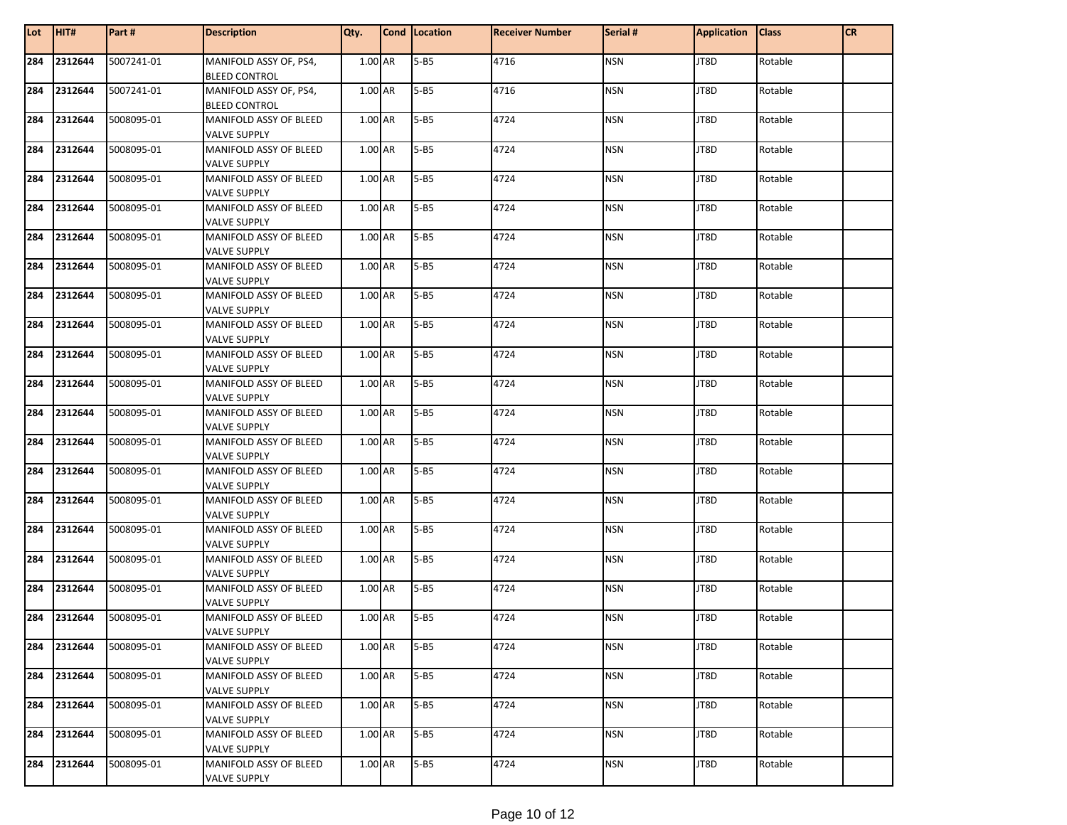| Lot | HIT#    | Part #     | <b>Description</b>                             | Qty.      | Cond   Location | <b>Receiver Number</b> | Serial #   | <b>Application</b> | <b>Class</b> | <b>CR</b> |
|-----|---------|------------|------------------------------------------------|-----------|-----------------|------------------------|------------|--------------------|--------------|-----------|
| 284 | 2312644 | 5007241-01 | MANIFOLD ASSY OF, PS4,<br><b>BLEED CONTROL</b> | 1.00 AR   | $5 - B5$        | 4716                   | <b>NSN</b> | JT8D               | Rotable      |           |
| 284 | 2312644 | 5007241-01 | MANIFOLD ASSY OF, PS4,                         | 1.00 AR   | $5 - B5$        | 4716                   | <b>NSN</b> | JT8D               | Rotable      |           |
| 284 | 2312644 | 5008095-01 | <b>BLEED CONTROL</b><br>MANIFOLD ASSY OF BLEED | 1.00 AR   | $5 - B5$        | 4724                   | <b>NSN</b> | JT8D               | Rotable      |           |
|     |         |            | <b>VALVE SUPPLY</b>                            |           |                 |                        |            |                    |              |           |
| 284 | 2312644 | 5008095-01 | MANIFOLD ASSY OF BLEED                         | 1.00 AR   | $5 - B5$        | 4724                   | <b>NSN</b> | JT8D               | Rotable      |           |
|     |         |            | <b>VALVE SUPPLY</b>                            |           |                 |                        |            |                    |              |           |
| 284 | 2312644 | 5008095-01 | MANIFOLD ASSY OF BLEED                         | 1.00 AR   | $5 - B5$        | 4724                   | <b>NSN</b> | JT8D               | Rotable      |           |
|     |         |            | <b>VALVE SUPPLY</b>                            |           |                 |                        |            |                    |              |           |
| 284 | 2312644 | 5008095-01 | MANIFOLD ASSY OF BLEED                         | 1.00 AR   | $5 - B5$        | 4724                   | <b>NSN</b> | JT8D               | Rotable      |           |
|     |         |            | <b>VALVE SUPPLY</b>                            |           |                 |                        |            |                    |              |           |
| 284 | 2312644 | 5008095-01 | MANIFOLD ASSY OF BLEED<br><b>VALVE SUPPLY</b>  | 1.00 AR   | $5 - B5$        | 4724                   | <b>NSN</b> | JT8D               | Rotable      |           |
| 284 | 2312644 | 5008095-01 | MANIFOLD ASSY OF BLEED<br><b>VALVE SUPPLY</b>  | 1.00 AR   | $5 - B5$        | 4724                   | <b>NSN</b> | JT8D               | Rotable      |           |
| 284 | 2312644 | 5008095-01 | <b>MANIFOLD ASSY OF BLEED</b>                  | 1.00 AR   | $5 - B5$        | 4724                   | <b>NSN</b> | JT8D               | Rotable      |           |
|     |         |            | <b>VALVE SUPPLY</b>                            |           |                 |                        |            |                    |              |           |
| 284 | 2312644 | 5008095-01 | MANIFOLD ASSY OF BLEED                         | 1.00 AR   | $5 - B5$        | 4724                   | <b>NSN</b> | JT8D               | Rotable      |           |
|     |         |            | <b>VALVE SUPPLY</b>                            |           |                 |                        |            |                    |              |           |
| 284 | 2312644 | 5008095-01 | MANIFOLD ASSY OF BLEED                         | 1.00 AR   | $5 - B5$        | 4724                   | <b>NSN</b> | JT8D               | Rotable      |           |
| 284 | 2312644 | 5008095-01 | <b>VALVE SUPPLY</b><br>MANIFOLD ASSY OF BLEED  | 1.00 AR   | $5 - B5$        | 4724                   | <b>NSN</b> | JT8D               | Rotable      |           |
|     |         |            | <b>VALVE SUPPLY</b>                            |           |                 |                        |            |                    |              |           |
| 284 | 2312644 | 5008095-01 | MANIFOLD ASSY OF BLEED                         | 1.00 AR   | $5 - B5$        | 4724                   | <b>NSN</b> | JT8D               | Rotable      |           |
|     |         |            | <b>VALVE SUPPLY</b>                            |           |                 |                        |            |                    |              |           |
| 284 | 2312644 | 5008095-01 | MANIFOLD ASSY OF BLEED                         | 1.00 AR   | $5 - B5$        | 4724                   | <b>NSN</b> | JT8D               | Rotable      |           |
|     |         |            | <b>VALVE SUPPLY</b>                            |           |                 |                        |            |                    |              |           |
| 284 | 2312644 | 5008095-01 | MANIFOLD ASSY OF BLEED                         | 1.00 AR   | $5 - B5$        | 4724                   | <b>NSN</b> | JT8D               | Rotable      |           |
|     |         |            | <b>VALVE SUPPLY</b>                            |           |                 |                        |            |                    |              |           |
| 284 | 2312644 | 5008095-01 | MANIFOLD ASSY OF BLEED                         | 1.00 AR   | $5 - B5$        | 4724                   | <b>NSN</b> | JT8D               | Rotable      |           |
| 284 | 2312644 | 5008095-01 | <b>VALVE SUPPLY</b><br>MANIFOLD ASSY OF BLEED  | 1.00 AR   | $5 - B5$        | 4724                   | <b>NSN</b> | JT8D               | Rotable      |           |
|     |         |            | <b>VALVE SUPPLY</b>                            |           |                 |                        |            |                    |              |           |
| 284 | 2312644 | 5008095-01 | MANIFOLD ASSY OF BLEED                         | $1.00$ AR | $5 - B5$        | 4724                   | <b>NSN</b> | JT8D               | Rotable      |           |
|     |         |            | <b>VALVE SUPPLY</b>                            |           |                 |                        |            |                    |              |           |
| 284 | 2312644 | 5008095-01 | MANIFOLD ASSY OF BLEED                         | 1.00 AR   | $5 - B5$        | 4724                   | <b>NSN</b> | JT8D               | Rotable      |           |
|     |         |            | <b>VALVE SUPPLY</b>                            |           |                 |                        |            |                    |              |           |
| 284 | 2312644 | 5008095-01 | MANIFOLD ASSY OF BLEED<br><b>VALVE SUPPLY</b>  | 1.00 AR   | $5 - B5$        | 4724                   | <b>NSN</b> | JT8D               | Rotable      |           |
| 284 | 2312644 | 5008095-01 | MANIFOLD ASSY OF BLEED                         | 1.00 AR   | $5 - B5$        | 4724                   | <b>NSN</b> | JT8D               | Rotable      |           |
|     |         |            | <b>VALVE SUPPLY</b>                            |           |                 |                        |            |                    |              |           |
| 284 | 2312644 | 5008095-01 | MANIFOLD ASSY OF BLEED                         | 1.00 AR   | $5 - B5$        | 4724                   | <b>NSN</b> | JT8D               | Rotable      |           |
|     |         |            | <b>VALVE SUPPLY</b>                            |           |                 |                        |            |                    |              |           |
| 284 | 2312644 | 5008095-01 | MANIFOLD ASSY OF BLEED<br><b>VALVE SUPPLY</b>  | 1.00 AR   | $5 - B5$        | 4724                   | <b>NSN</b> | JT8D               | Rotable      |           |
| 284 | 2312644 | 5008095-01 | MANIFOLD ASSY OF BLEED                         | 1.00 AR   | $5 - B5$        | 4724                   | <b>NSN</b> | JT8D               | Rotable      |           |
|     |         |            | <b>VALVE SUPPLY</b>                            |           |                 |                        |            |                    |              |           |
| 284 | 2312644 | 5008095-01 | MANIFOLD ASSY OF BLEED                         | 1.00 AR   | $5 - B5$        | 4724                   | <b>NSN</b> | JT8D               | Rotable      |           |
|     |         |            | <b>VALVE SUPPLY</b>                            |           |                 |                        |            |                    |              |           |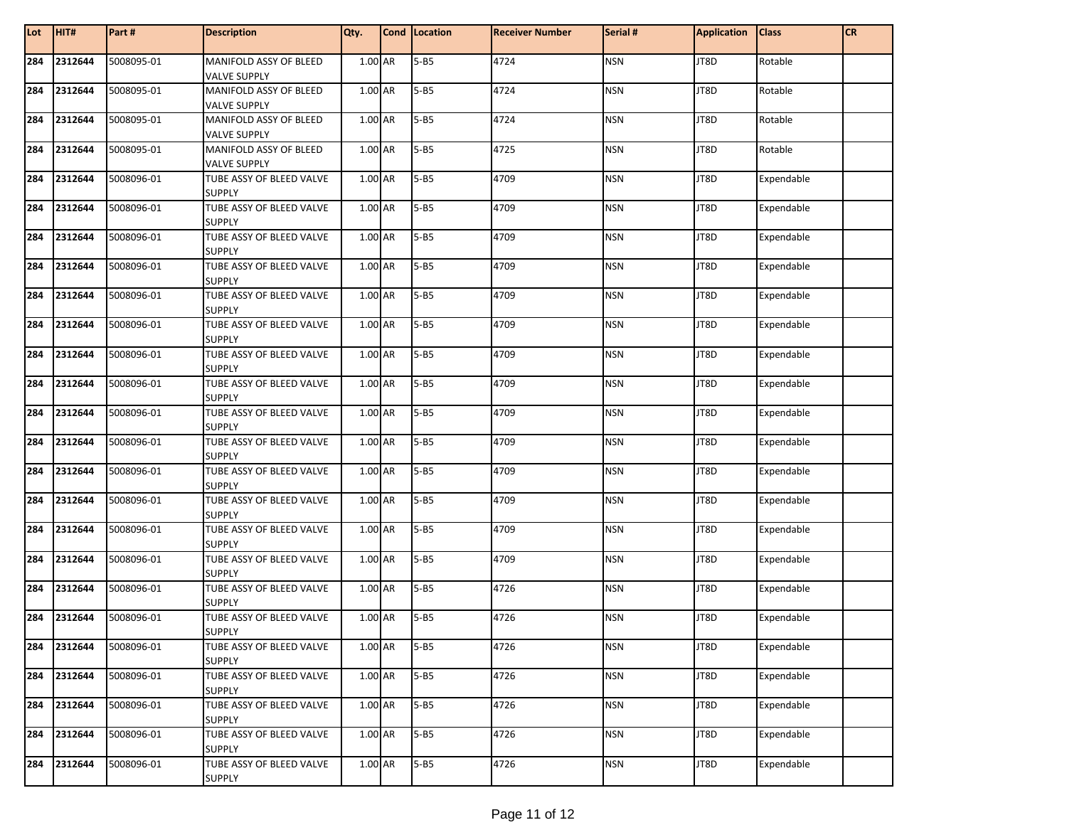| Lot | HIT#    | Part#      | <b>Description</b>                            | Qty.    | Cond Location | <b>Receiver Number</b> | Serial #   | <b>Application</b> | <b>Class</b> | <b>CR</b> |
|-----|---------|------------|-----------------------------------------------|---------|---------------|------------------------|------------|--------------------|--------------|-----------|
| 284 | 2312644 | 5008095-01 | MANIFOLD ASSY OF BLEED<br><b>VALVE SUPPLY</b> | 1.00 AR | $5 - B5$      | 4724                   | <b>NSN</b> | JT8D               | Rotable      |           |
| 284 | 2312644 | 5008095-01 | MANIFOLD ASSY OF BLEED                        | 1.00 AR | $5 - B5$      | 4724                   | <b>NSN</b> | JT8D               | Rotable      |           |
|     |         |            | VALVE SUPPLY                                  |         |               |                        |            |                    |              |           |
| 284 | 2312644 | 5008095-01 | MANIFOLD ASSY OF BLEED                        | 1.00 AR | $5 - B5$      | 4724                   | <b>NSN</b> | JT8D               | Rotable      |           |
|     |         |            | VALVE SUPPLY                                  |         |               |                        |            |                    |              |           |
| 284 | 2312644 | 5008095-01 | MANIFOLD ASSY OF BLEED                        | 1.00 AR | $5 - B5$      | 4725                   | <b>NSN</b> | JT8D               | Rotable      |           |
|     |         |            | VALVE SUPPLY                                  |         |               |                        |            |                    |              |           |
| 284 | 2312644 | 5008096-01 | TUBE ASSY OF BLEED VALVE                      | 1.00 AR | $5 - B5$      | 4709                   | <b>NSN</b> | JT8D               | Expendable   |           |
|     |         |            | <b>SUPPLY</b>                                 |         |               |                        |            |                    |              |           |
| 284 | 2312644 | 5008096-01 | TUBE ASSY OF BLEED VALVE<br><b>SUPPLY</b>     | 1.00 AR | $5 - B5$      | 4709                   | <b>NSN</b> | JT8D               | Expendable   |           |
| 284 | 2312644 | 5008096-01 | TUBE ASSY OF BLEED VALVE                      | 1.00 AR | $5 - B5$      | 4709                   | <b>NSN</b> | JT8D               | Expendable   |           |
|     |         |            | <b>SUPPLY</b>                                 |         |               |                        |            |                    |              |           |
| 284 | 2312644 | 5008096-01 | TUBE ASSY OF BLEED VALVE<br><b>SUPPLY</b>     | 1.00 AR | $5 - B5$      | 4709                   | <b>NSN</b> | JT8D               | Expendable   |           |
| 284 | 2312644 | 5008096-01 | TUBE ASSY OF BLEED VALVE                      | 1.00 AR | $5 - B5$      | 4709                   | <b>NSN</b> | JT8D               | Expendable   |           |
|     |         |            | <b>SUPPLY</b>                                 |         |               |                        |            |                    |              |           |
| 284 | 2312644 | 5008096-01 | TUBE ASSY OF BLEED VALVE                      | 1.00 AR | $5 - B5$      | 4709                   | <b>NSN</b> | JT8D               | Expendable   |           |
|     |         |            | <b>SUPPLY</b>                                 |         |               |                        |            |                    |              |           |
| 284 | 2312644 | 5008096-01 | TUBE ASSY OF BLEED VALVE<br><b>SUPPLY</b>     | 1.00 AR | $5 - B5$      | 4709                   | <b>NSN</b> | JT8D               | Expendable   |           |
| 284 | 2312644 | 5008096-01 | TUBE ASSY OF BLEED VALVE                      | 1.00 AR | $5 - B5$      | 4709                   | <b>NSN</b> | JT8D               | Expendable   |           |
|     |         |            | <b>SUPPLY</b>                                 |         |               |                        |            |                    |              |           |
| 284 | 2312644 | 5008096-01 | TUBE ASSY OF BLEED VALVE                      | 1.00 AR | $5 - B5$      | 4709                   | <b>NSN</b> | JT8D               | Expendable   |           |
|     |         |            | <b>SUPPLY</b>                                 |         |               |                        |            |                    |              |           |
| 284 | 2312644 | 5008096-01 | TUBE ASSY OF BLEED VALVE                      | 1.00 AR | $5 - B5$      | 4709                   | <b>NSN</b> | JT8D               | Expendable   |           |
|     |         |            | <b>SUPPLY</b>                                 |         |               |                        |            |                    |              |           |
| 284 | 2312644 | 5008096-01 | TUBE ASSY OF BLEED VALVE                      | 1.00 AR | $5 - B5$      | 4709                   | <b>NSN</b> | JT8D               | Expendable   |           |
| 284 | 2312644 | 5008096-01 | SUPPLY<br>TUBE ASSY OF BLEED VALVE            | 1.00 AR | $5 - B5$      | 4709                   | <b>NSN</b> | JT8D               | Expendable   |           |
|     |         |            | <b>SUPPLY</b>                                 |         |               |                        |            |                    |              |           |
| 284 | 2312644 | 5008096-01 | TUBE ASSY OF BLEED VALVE                      | 1.00 AR | $5 - B5$      | 4709                   | <b>NSN</b> | JT8D               | Expendable   |           |
|     |         |            | <b>SUPPLY</b>                                 |         |               |                        |            |                    |              |           |
| 284 | 2312644 | 5008096-01 | TUBE ASSY OF BLEED VALVE                      | 1.00 AR | $5 - B5$      | 4709                   | <b>NSN</b> | JT8D               | Expendable   |           |
|     |         |            | <b>SUPPLY</b>                                 |         |               |                        |            |                    |              |           |
| 284 | 2312644 | 5008096-01 | TUBE ASSY OF BLEED VALVE<br>SUPPLY            | 1.00 AR | $5 - B5$      | 4726                   | <b>NSN</b> | JT8D               | Expendable   |           |
| 284 | 2312644 | 5008096-01 | TUBE ASSY OF BLEED VALVE                      | 1.00 AR | $5 - B5$      | 4726                   | <b>NSN</b> | JT8D               | Expendable   |           |
|     |         |            | <b>SUPPLY</b>                                 |         |               |                        |            |                    |              |           |
| 284 | 2312644 | 5008096-01 | TUBE ASSY OF BLEED VALVE                      | 1.00 AR | $5 - B5$      | 4726                   | <b>NSN</b> | JT8D               | Expendable   |           |
|     |         |            | <b>SUPPLY</b>                                 |         |               |                        |            |                    |              |           |
| 284 | 2312644 | 5008096-01 | TUBE ASSY OF BLEED VALVE<br><b>SUPPLY</b>     | 1.00 AR | $5 - B5$      | 4726                   | <b>NSN</b> | JT8D               | Expendable   |           |
| 284 | 2312644 | 5008096-01 | TUBE ASSY OF BLEED VALVE                      | 1.00 AR | $5 - B5$      | 4726                   | <b>NSN</b> | JT8D               | Expendable   |           |
|     |         |            | SUPPLY                                        |         |               |                        |            |                    |              |           |
| 284 | 2312644 | 5008096-01 | TUBE ASSY OF BLEED VALVE                      | 1.00 AR | $5 - B5$      | 4726                   | <b>NSN</b> | JT8D               | Expendable   |           |
|     |         |            | <b>SUPPLY</b>                                 |         |               |                        |            |                    |              |           |
| 284 | 2312644 | 5008096-01 | TUBE ASSY OF BLEED VALVE                      | 1.00 AR | $5 - B5$      | 4726                   | <b>NSN</b> | JT8D               | Expendable   |           |
|     |         |            | <b>SUPPLY</b>                                 |         |               |                        |            |                    |              |           |